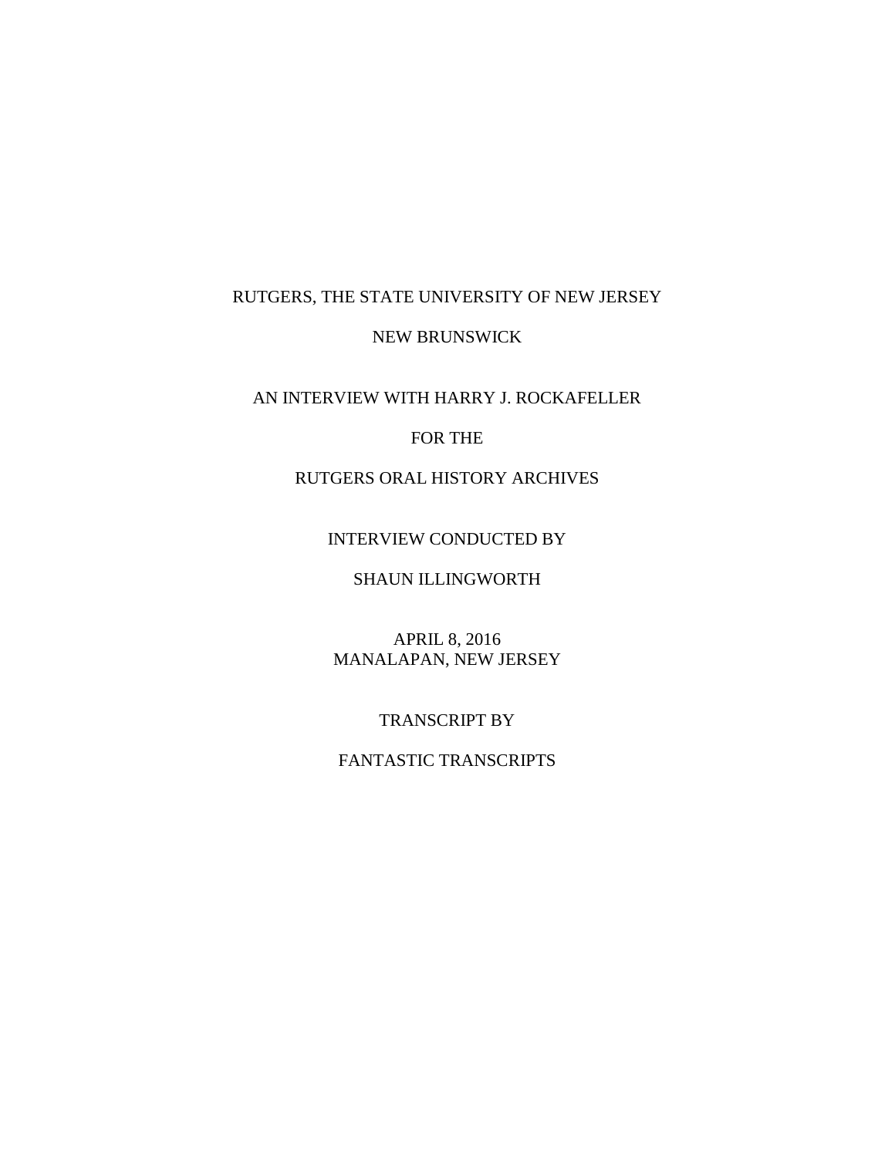# RUTGERS, THE STATE UNIVERSITY OF NEW JERSEY

#### NEW BRUNSWICK

# AN INTERVIEW WITH HARRY J. ROCKAFELLER

#### FOR THE

# RUTGERS ORAL HISTORY ARCHIVES

#### INTERVIEW CONDUCTED BY

# SHAUN ILLINGWORTH

APRIL 8, 2016 MANALAPAN, NEW JERSEY

#### TRANSCRIPT BY

# FANTASTIC TRANSCRIPTS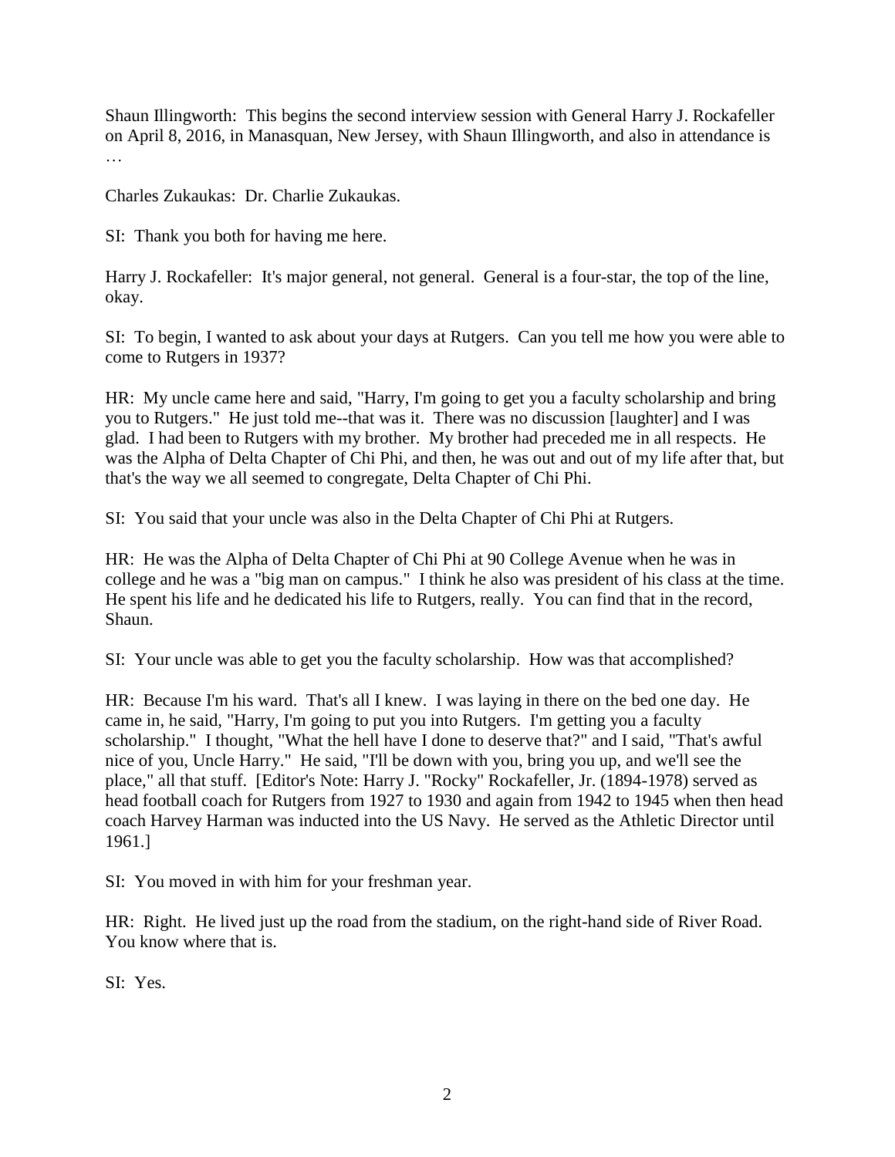Shaun Illingworth: This begins the second interview session with General Harry J. Rockafeller on April 8, 2016, in Manasquan, New Jersey, with Shaun Illingworth, and also in attendance is …

Charles Zukaukas: Dr. Charlie Zukaukas.

SI: Thank you both for having me here.

Harry J. Rockafeller: It's major general, not general. General is a four-star, the top of the line, okay.

SI: To begin, I wanted to ask about your days at Rutgers. Can you tell me how you were able to come to Rutgers in 1937?

HR: My uncle came here and said, "Harry, I'm going to get you a faculty scholarship and bring you to Rutgers." He just told me--that was it. There was no discussion [laughter] and I was glad. I had been to Rutgers with my brother. My brother had preceded me in all respects. He was the Alpha of Delta Chapter of Chi Phi, and then, he was out and out of my life after that, but that's the way we all seemed to congregate, Delta Chapter of Chi Phi.

SI: You said that your uncle was also in the Delta Chapter of Chi Phi at Rutgers.

HR: He was the Alpha of Delta Chapter of Chi Phi at 90 College Avenue when he was in college and he was a "big man on campus." I think he also was president of his class at the time. He spent his life and he dedicated his life to Rutgers, really. You can find that in the record, Shaun.

SI: Your uncle was able to get you the faculty scholarship. How was that accomplished?

HR: Because I'm his ward. That's all I knew. I was laying in there on the bed one day. He came in, he said, "Harry, I'm going to put you into Rutgers. I'm getting you a faculty scholarship." I thought, "What the hell have I done to deserve that?" and I said, "That's awful nice of you, Uncle Harry." He said, "I'll be down with you, bring you up, and we'll see the place," all that stuff. [Editor's Note: Harry J. "Rocky" Rockafeller, Jr. (1894-1978) served as head football coach for Rutgers from 1927 to 1930 and again from 1942 to 1945 when then head coach Harvey Harman was inducted into the US Navy. He served as the Athletic Director until 1961.]

SI: You moved in with him for your freshman year.

HR: Right. He lived just up the road from the stadium, on the right-hand side of River Road. You know where that is.

SI: Yes.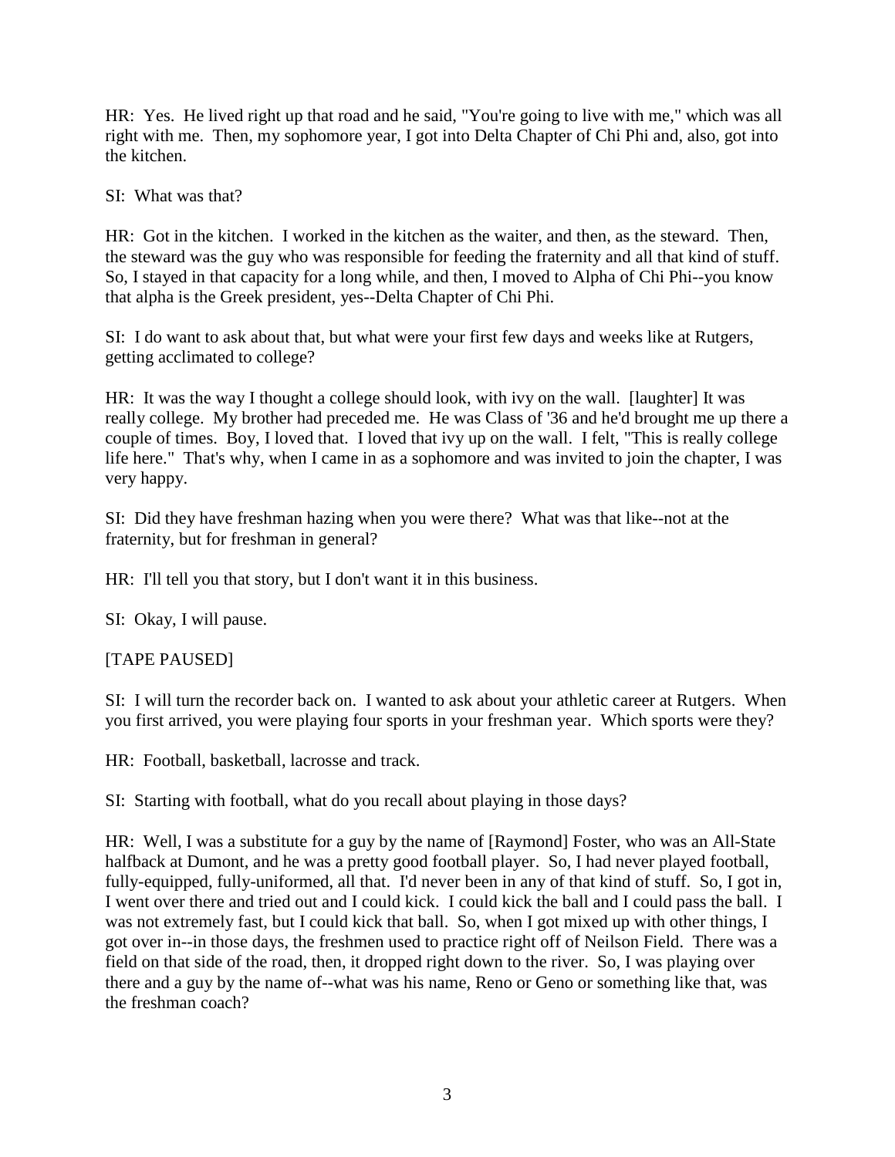HR: Yes. He lived right up that road and he said, "You're going to live with me," which was all right with me. Then, my sophomore year, I got into Delta Chapter of Chi Phi and, also, got into the kitchen.

SI: What was that?

HR: Got in the kitchen. I worked in the kitchen as the waiter, and then, as the steward. Then, the steward was the guy who was responsible for feeding the fraternity and all that kind of stuff. So, I stayed in that capacity for a long while, and then, I moved to Alpha of Chi Phi--you know that alpha is the Greek president, yes--Delta Chapter of Chi Phi.

SI: I do want to ask about that, but what were your first few days and weeks like at Rutgers, getting acclimated to college?

HR: It was the way I thought a college should look, with ivy on the wall. [laughter] It was really college. My brother had preceded me. He was Class of '36 and he'd brought me up there a couple of times. Boy, I loved that. I loved that ivy up on the wall. I felt, "This is really college life here." That's why, when I came in as a sophomore and was invited to join the chapter, I was very happy.

SI: Did they have freshman hazing when you were there? What was that like--not at the fraternity, but for freshman in general?

HR: I'll tell you that story, but I don't want it in this business.

SI: Okay, I will pause.

[TAPE PAUSED]

SI: I will turn the recorder back on. I wanted to ask about your athletic career at Rutgers. When you first arrived, you were playing four sports in your freshman year. Which sports were they?

HR: Football, basketball, lacrosse and track.

SI: Starting with football, what do you recall about playing in those days?

HR: Well, I was a substitute for a guy by the name of [Raymond] Foster, who was an All-State halfback at Dumont, and he was a pretty good football player. So, I had never played football, fully-equipped, fully-uniformed, all that. I'd never been in any of that kind of stuff. So, I got in, I went over there and tried out and I could kick. I could kick the ball and I could pass the ball. I was not extremely fast, but I could kick that ball. So, when I got mixed up with other things, I got over in--in those days, the freshmen used to practice right off of Neilson Field. There was a field on that side of the road, then, it dropped right down to the river. So, I was playing over there and a guy by the name of--what was his name, Reno or Geno or something like that, was the freshman coach?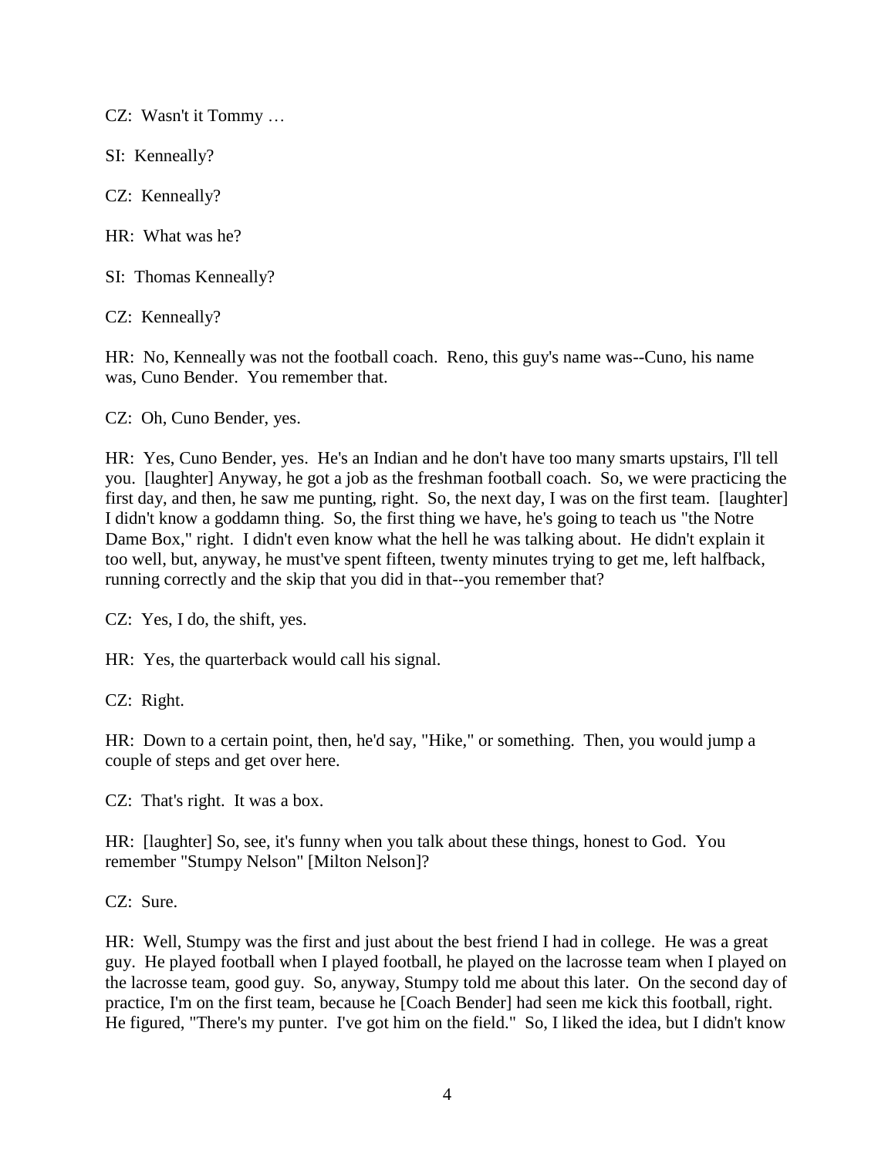CZ: Wasn't it Tommy …

SI: Kenneally?

CZ: Kenneally?

HR: What was he?

SI: Thomas Kenneally?

CZ: Kenneally?

HR: No, Kenneally was not the football coach. Reno, this guy's name was--Cuno, his name was, Cuno Bender. You remember that.

CZ: Oh, Cuno Bender, yes.

HR: Yes, Cuno Bender, yes. He's an Indian and he don't have too many smarts upstairs, I'll tell you. [laughter] Anyway, he got a job as the freshman football coach. So, we were practicing the first day, and then, he saw me punting, right. So, the next day, I was on the first team. [laughter] I didn't know a goddamn thing. So, the first thing we have, he's going to teach us "the Notre Dame Box," right. I didn't even know what the hell he was talking about. He didn't explain it too well, but, anyway, he must've spent fifteen, twenty minutes trying to get me, left halfback, running correctly and the skip that you did in that--you remember that?

CZ: Yes, I do, the shift, yes.

HR: Yes, the quarterback would call his signal.

CZ: Right.

HR: Down to a certain point, then, he'd say, "Hike," or something. Then, you would jump a couple of steps and get over here.

CZ: That's right. It was a box.

HR: [laughter] So, see, it's funny when you talk about these things, honest to God. You remember "Stumpy Nelson" [Milton Nelson]?

CZ: Sure.

HR: Well, Stumpy was the first and just about the best friend I had in college. He was a great guy. He played football when I played football, he played on the lacrosse team when I played on the lacrosse team, good guy. So, anyway, Stumpy told me about this later. On the second day of practice, I'm on the first team, because he [Coach Bender] had seen me kick this football, right. He figured, "There's my punter. I've got him on the field." So, I liked the idea, but I didn't know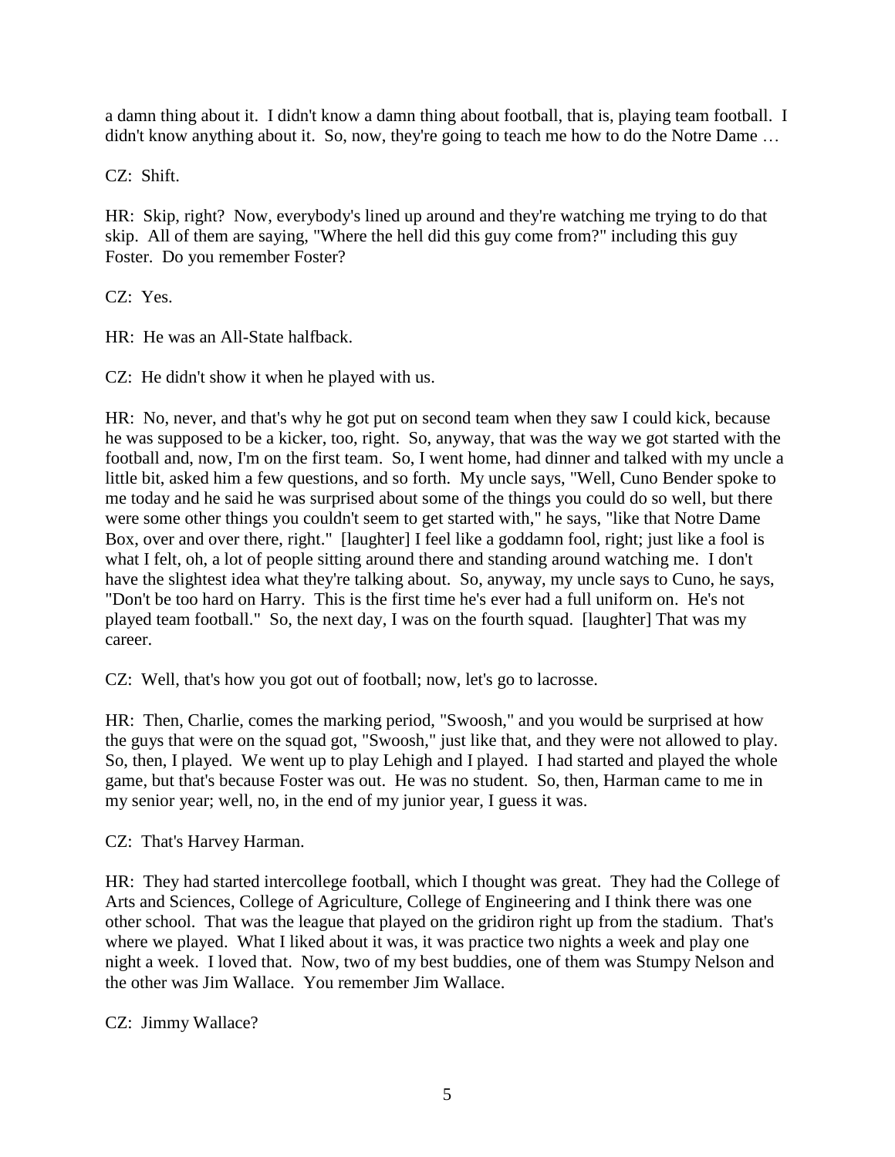a damn thing about it. I didn't know a damn thing about football, that is, playing team football. I didn't know anything about it. So, now, they're going to teach me how to do the Notre Dame ...

CZ: Shift.

HR: Skip, right? Now, everybody's lined up around and they're watching me trying to do that skip. All of them are saying, "Where the hell did this guy come from?" including this guy Foster. Do you remember Foster?

CZ: Yes.

HR: He was an All-State halfback.

CZ: He didn't show it when he played with us.

HR: No, never, and that's why he got put on second team when they saw I could kick, because he was supposed to be a kicker, too, right. So, anyway, that was the way we got started with the football and, now, I'm on the first team. So, I went home, had dinner and talked with my uncle a little bit, asked him a few questions, and so forth. My uncle says, "Well, Cuno Bender spoke to me today and he said he was surprised about some of the things you could do so well, but there were some other things you couldn't seem to get started with," he says, "like that Notre Dame Box, over and over there, right." [laughter] I feel like a goddamn fool, right; just like a fool is what I felt, oh, a lot of people sitting around there and standing around watching me. I don't have the slightest idea what they're talking about. So, anyway, my uncle says to Cuno, he says, "Don't be too hard on Harry. This is the first time he's ever had a full uniform on. He's not played team football." So, the next day, I was on the fourth squad. [laughter] That was my career.

CZ: Well, that's how you got out of football; now, let's go to lacrosse.

HR: Then, Charlie, comes the marking period, "Swoosh," and you would be surprised at how the guys that were on the squad got, "Swoosh," just like that, and they were not allowed to play. So, then, I played. We went up to play Lehigh and I played. I had started and played the whole game, but that's because Foster was out. He was no student. So, then, Harman came to me in my senior year; well, no, in the end of my junior year, I guess it was.

CZ: That's Harvey Harman.

HR: They had started intercollege football, which I thought was great. They had the College of Arts and Sciences, College of Agriculture, College of Engineering and I think there was one other school. That was the league that played on the gridiron right up from the stadium. That's where we played. What I liked about it was, it was practice two nights a week and play one night a week. I loved that. Now, two of my best buddies, one of them was Stumpy Nelson and the other was Jim Wallace. You remember Jim Wallace.

CZ: Jimmy Wallace?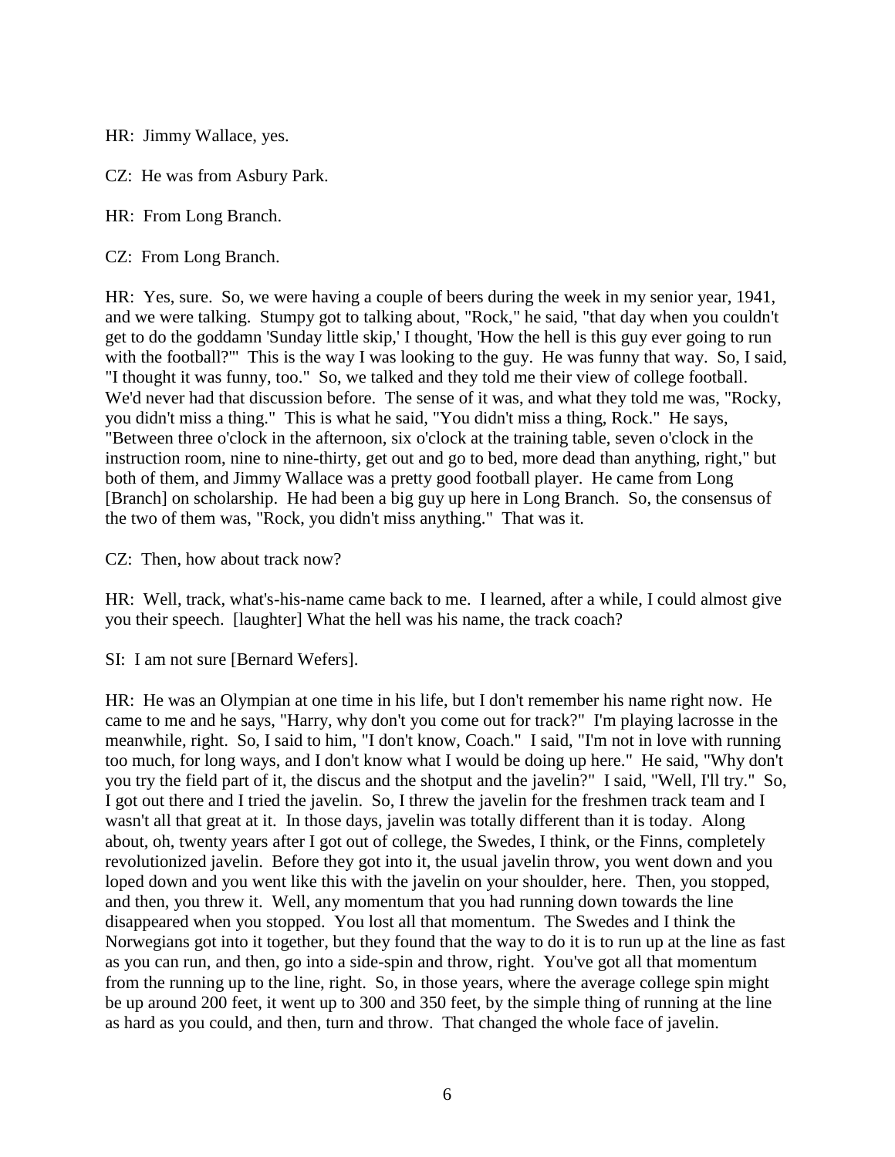HR: Jimmy Wallace, yes.

CZ: He was from Asbury Park.

HR: From Long Branch.

CZ: From Long Branch.

HR: Yes, sure. So, we were having a couple of beers during the week in my senior year, 1941, and we were talking. Stumpy got to talking about, "Rock," he said, "that day when you couldn't get to do the goddamn 'Sunday little skip,' I thought, 'How the hell is this guy ever going to run with the football?'" This is the way I was looking to the guy. He was funny that way. So, I said, "I thought it was funny, too." So, we talked and they told me their view of college football. We'd never had that discussion before. The sense of it was, and what they told me was, "Rocky, you didn't miss a thing." This is what he said, "You didn't miss a thing, Rock." He says, "Between three o'clock in the afternoon, six o'clock at the training table, seven o'clock in the instruction room, nine to nine-thirty, get out and go to bed, more dead than anything, right," but both of them, and Jimmy Wallace was a pretty good football player. He came from Long [Branch] on scholarship. He had been a big guy up here in Long Branch. So, the consensus of the two of them was, "Rock, you didn't miss anything." That was it.

CZ: Then, how about track now?

HR: Well, track, what's-his-name came back to me. I learned, after a while, I could almost give you their speech. [laughter] What the hell was his name, the track coach?

SI: I am not sure [Bernard Wefers].

HR: He was an Olympian at one time in his life, but I don't remember his name right now. He came to me and he says, "Harry, why don't you come out for track?" I'm playing lacrosse in the meanwhile, right. So, I said to him, "I don't know, Coach." I said, "I'm not in love with running too much, for long ways, and I don't know what I would be doing up here." He said, "Why don't you try the field part of it, the discus and the shotput and the javelin?" I said, "Well, I'll try." So, I got out there and I tried the javelin. So, I threw the javelin for the freshmen track team and I wasn't all that great at it. In those days, javelin was totally different than it is today. Along about, oh, twenty years after I got out of college, the Swedes, I think, or the Finns, completely revolutionized javelin. Before they got into it, the usual javelin throw, you went down and you loped down and you went like this with the javelin on your shoulder, here. Then, you stopped, and then, you threw it. Well, any momentum that you had running down towards the line disappeared when you stopped. You lost all that momentum. The Swedes and I think the Norwegians got into it together, but they found that the way to do it is to run up at the line as fast as you can run, and then, go into a side-spin and throw, right. You've got all that momentum from the running up to the line, right. So, in those years, where the average college spin might be up around 200 feet, it went up to 300 and 350 feet, by the simple thing of running at the line as hard as you could, and then, turn and throw. That changed the whole face of javelin.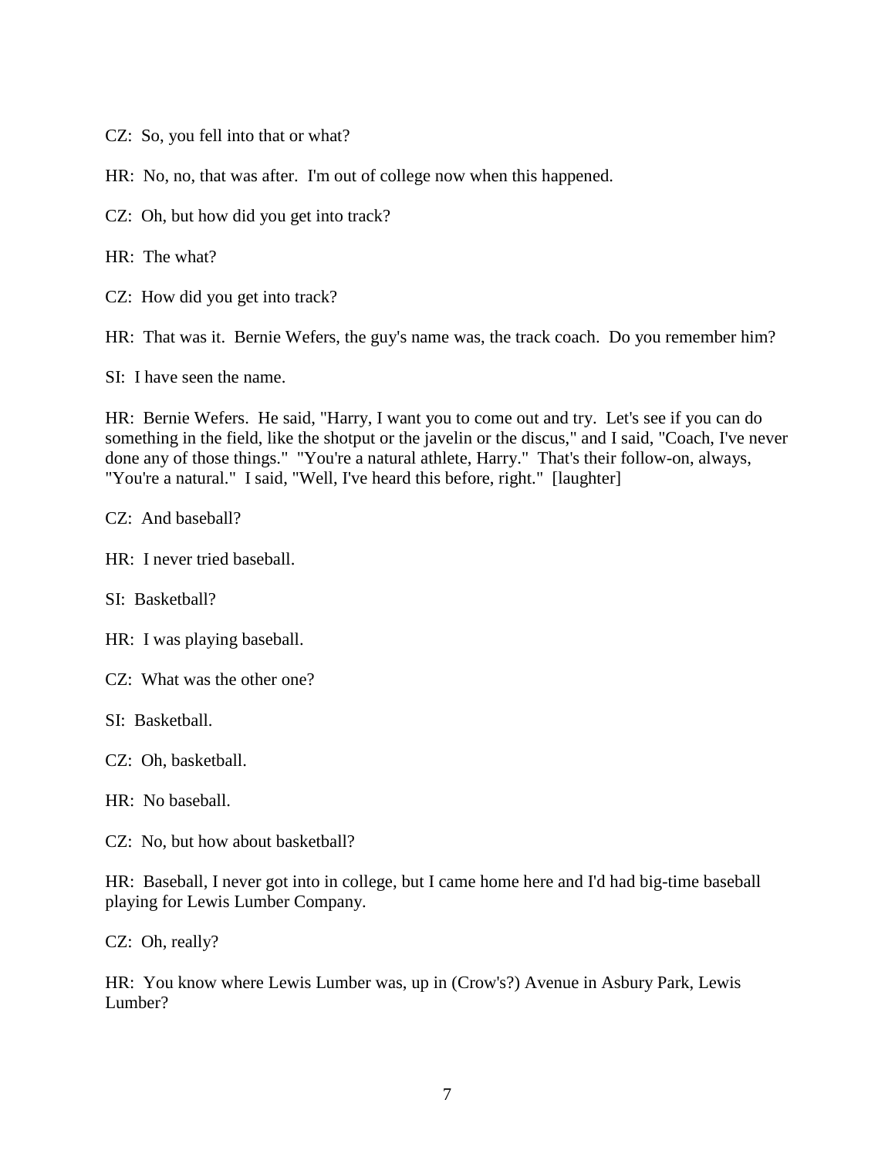CZ: So, you fell into that or what?

HR: No, no, that was after. I'm out of college now when this happened.

CZ: Oh, but how did you get into track?

HR: The what?

CZ: How did you get into track?

HR: That was it. Bernie Wefers, the guy's name was, the track coach. Do you remember him?

SI: I have seen the name.

HR: Bernie Wefers. He said, "Harry, I want you to come out and try. Let's see if you can do something in the field, like the shotput or the javelin or the discus," and I said, "Coach, I've never done any of those things." "You're a natural athlete, Harry." That's their follow-on, always, "You're a natural." I said, "Well, I've heard this before, right." [laughter]

CZ: And baseball?

HR: I never tried baseball.

SI: Basketball?

HR: I was playing baseball.

CZ: What was the other one?

SI: Basketball.

CZ: Oh, basketball.

HR: No baseball.

CZ: No, but how about basketball?

HR: Baseball, I never got into in college, but I came home here and I'd had big-time baseball playing for Lewis Lumber Company.

CZ: Oh, really?

HR: You know where Lewis Lumber was, up in (Crow's?) Avenue in Asbury Park, Lewis Lumber?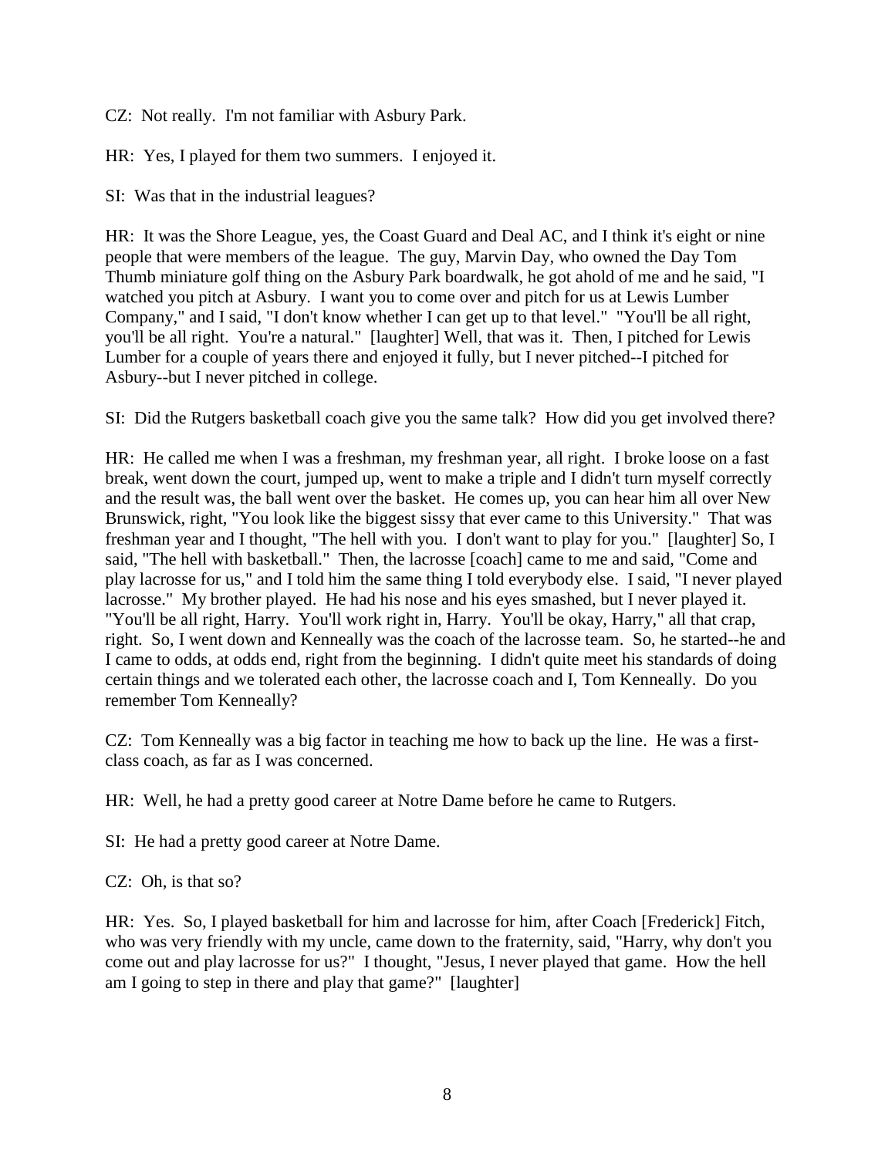CZ: Not really. I'm not familiar with Asbury Park.

HR: Yes, I played for them two summers. I enjoyed it.

SI: Was that in the industrial leagues?

HR: It was the Shore League, yes, the Coast Guard and Deal AC, and I think it's eight or nine people that were members of the league. The guy, Marvin Day, who owned the Day Tom Thumb miniature golf thing on the Asbury Park boardwalk, he got ahold of me and he said, "I watched you pitch at Asbury. I want you to come over and pitch for us at Lewis Lumber Company," and I said, "I don't know whether I can get up to that level." "You'll be all right, you'll be all right. You're a natural." [laughter] Well, that was it. Then, I pitched for Lewis Lumber for a couple of years there and enjoyed it fully, but I never pitched--I pitched for Asbury--but I never pitched in college.

SI: Did the Rutgers basketball coach give you the same talk? How did you get involved there?

HR: He called me when I was a freshman, my freshman year, all right. I broke loose on a fast break, went down the court, jumped up, went to make a triple and I didn't turn myself correctly and the result was, the ball went over the basket. He comes up, you can hear him all over New Brunswick, right, "You look like the biggest sissy that ever came to this University." That was freshman year and I thought, "The hell with you. I don't want to play for you." [laughter] So, I said, "The hell with basketball." Then, the lacrosse [coach] came to me and said, "Come and play lacrosse for us," and I told him the same thing I told everybody else. I said, "I never played lacrosse." My brother played. He had his nose and his eyes smashed, but I never played it. "You'll be all right, Harry. You'll work right in, Harry. You'll be okay, Harry," all that crap, right. So, I went down and Kenneally was the coach of the lacrosse team. So, he started--he and I came to odds, at odds end, right from the beginning. I didn't quite meet his standards of doing certain things and we tolerated each other, the lacrosse coach and I, Tom Kenneally. Do you remember Tom Kenneally?

CZ: Tom Kenneally was a big factor in teaching me how to back up the line. He was a firstclass coach, as far as I was concerned.

HR: Well, he had a pretty good career at Notre Dame before he came to Rutgers.

SI: He had a pretty good career at Notre Dame.

CZ: Oh, is that so?

HR: Yes. So, I played basketball for him and lacrosse for him, after Coach [Frederick] Fitch, who was very friendly with my uncle, came down to the fraternity, said, "Harry, why don't you come out and play lacrosse for us?" I thought, "Jesus, I never played that game. How the hell am I going to step in there and play that game?" [laughter]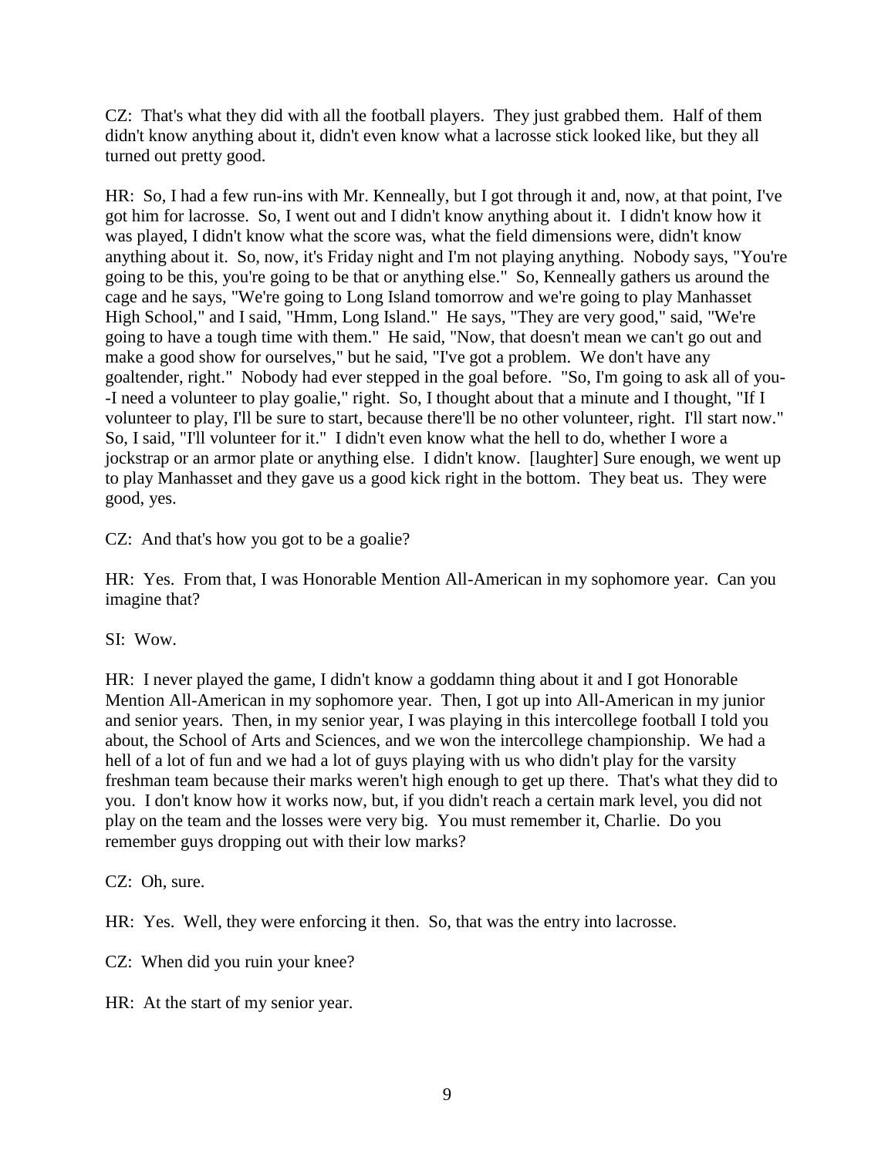CZ: That's what they did with all the football players. They just grabbed them. Half of them didn't know anything about it, didn't even know what a lacrosse stick looked like, but they all turned out pretty good.

HR: So, I had a few run-ins with Mr. Kenneally, but I got through it and, now, at that point, I've got him for lacrosse. So, I went out and I didn't know anything about it. I didn't know how it was played, I didn't know what the score was, what the field dimensions were, didn't know anything about it. So, now, it's Friday night and I'm not playing anything. Nobody says, "You're going to be this, you're going to be that or anything else." So, Kenneally gathers us around the cage and he says, "We're going to Long Island tomorrow and we're going to play Manhasset High School," and I said, "Hmm, Long Island." He says, "They are very good," said, "We're going to have a tough time with them." He said, "Now, that doesn't mean we can't go out and make a good show for ourselves," but he said, "I've got a problem. We don't have any goaltender, right." Nobody had ever stepped in the goal before. "So, I'm going to ask all of you- -I need a volunteer to play goalie," right. So, I thought about that a minute and I thought, "If I volunteer to play, I'll be sure to start, because there'll be no other volunteer, right. I'll start now." So, I said, "I'll volunteer for it." I didn't even know what the hell to do, whether I wore a jockstrap or an armor plate or anything else. I didn't know. [laughter] Sure enough, we went up to play Manhasset and they gave us a good kick right in the bottom. They beat us. They were good, yes.

CZ: And that's how you got to be a goalie?

HR: Yes. From that, I was Honorable Mention All-American in my sophomore year. Can you imagine that?

SI: Wow.

HR: I never played the game, I didn't know a goddamn thing about it and I got Honorable Mention All-American in my sophomore year. Then, I got up into All-American in my junior and senior years. Then, in my senior year, I was playing in this intercollege football I told you about, the School of Arts and Sciences, and we won the intercollege championship. We had a hell of a lot of fun and we had a lot of guys playing with us who didn't play for the varsity freshman team because their marks weren't high enough to get up there. That's what they did to you. I don't know how it works now, but, if you didn't reach a certain mark level, you did not play on the team and the losses were very big. You must remember it, Charlie. Do you remember guys dropping out with their low marks?

CZ: Oh, sure.

HR: Yes. Well, they were enforcing it then. So, that was the entry into lacrosse.

CZ: When did you ruin your knee?

HR: At the start of my senior year.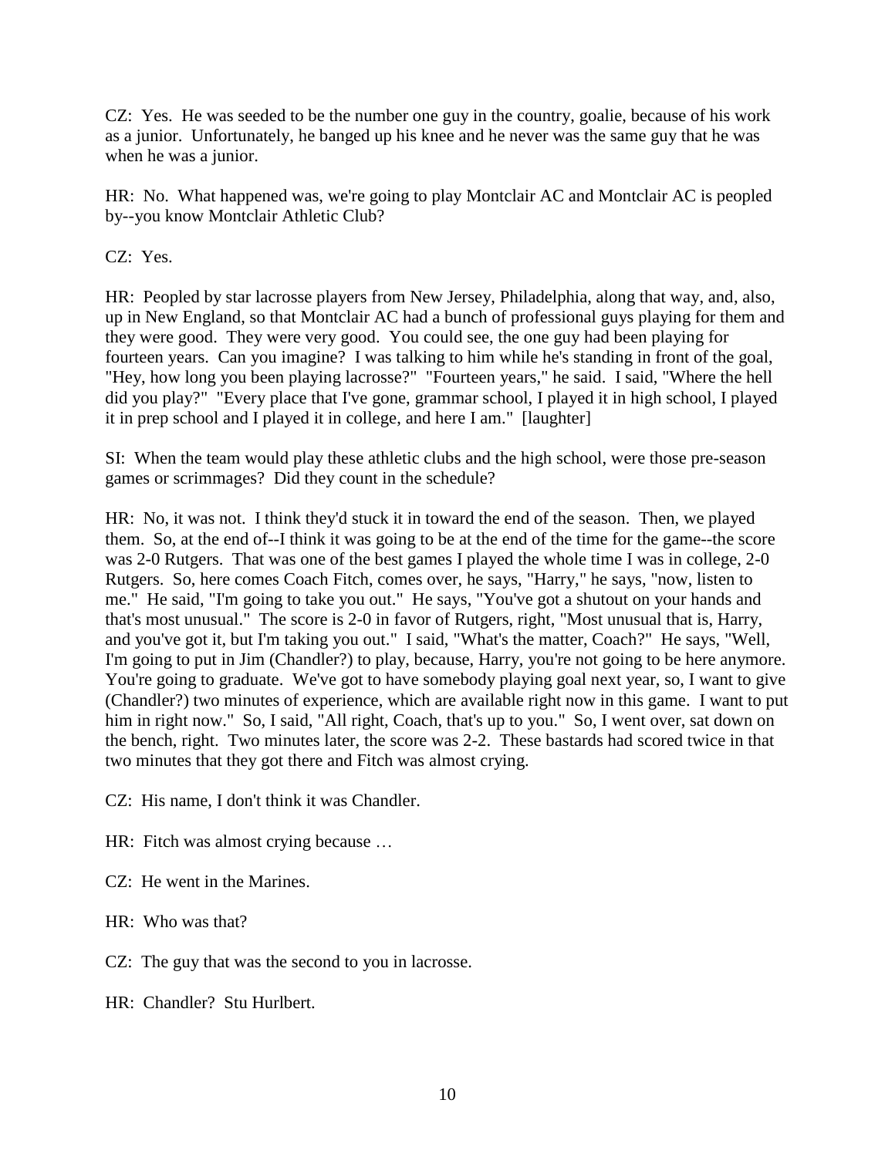CZ: Yes. He was seeded to be the number one guy in the country, goalie, because of his work as a junior. Unfortunately, he banged up his knee and he never was the same guy that he was when he was a junior.

HR: No. What happened was, we're going to play Montclair AC and Montclair AC is peopled by--you know Montclair Athletic Club?

CZ: Yes.

HR: Peopled by star lacrosse players from New Jersey, Philadelphia, along that way, and, also, up in New England, so that Montclair AC had a bunch of professional guys playing for them and they were good. They were very good. You could see, the one guy had been playing for fourteen years. Can you imagine? I was talking to him while he's standing in front of the goal, "Hey, how long you been playing lacrosse?" "Fourteen years," he said. I said, "Where the hell did you play?" "Every place that I've gone, grammar school, I played it in high school, I played it in prep school and I played it in college, and here I am." [laughter]

SI: When the team would play these athletic clubs and the high school, were those pre-season games or scrimmages? Did they count in the schedule?

HR: No, it was not. I think they'd stuck it in toward the end of the season. Then, we played them. So, at the end of--I think it was going to be at the end of the time for the game--the score was 2-0 Rutgers. That was one of the best games I played the whole time I was in college, 2-0 Rutgers. So, here comes Coach Fitch, comes over, he says, "Harry," he says, "now, listen to me." He said, "I'm going to take you out." He says, "You've got a shutout on your hands and that's most unusual." The score is 2-0 in favor of Rutgers, right, "Most unusual that is, Harry, and you've got it, but I'm taking you out." I said, "What's the matter, Coach?" He says, "Well, I'm going to put in Jim (Chandler?) to play, because, Harry, you're not going to be here anymore. You're going to graduate. We've got to have somebody playing goal next year, so, I want to give (Chandler?) two minutes of experience, which are available right now in this game. I want to put him in right now." So, I said, "All right, Coach, that's up to you." So, I went over, sat down on the bench, right. Two minutes later, the score was 2-2. These bastards had scored twice in that two minutes that they got there and Fitch was almost crying.

CZ: His name, I don't think it was Chandler.

- HR: Fitch was almost crying because …
- CZ: He went in the Marines.
- HR: Who was that?
- CZ: The guy that was the second to you in lacrosse.
- HR: Chandler? Stu Hurlbert.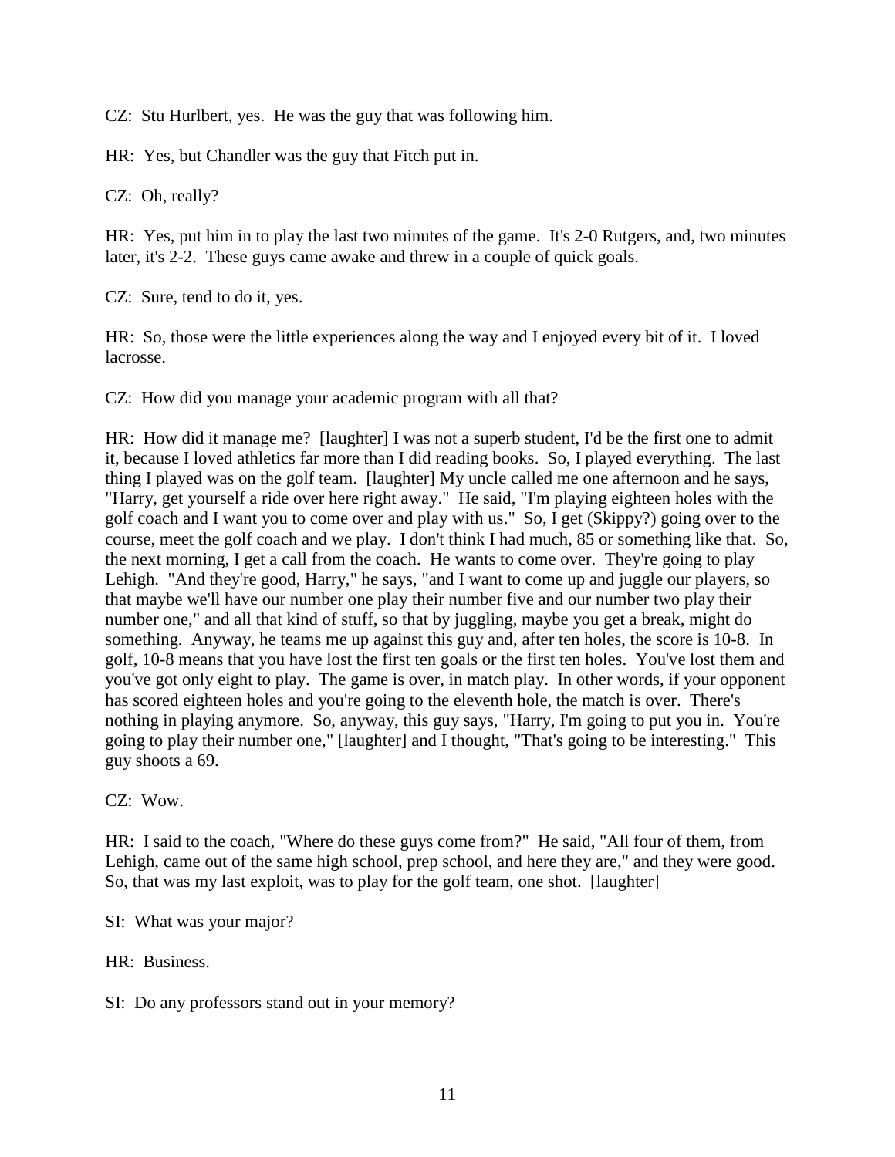CZ: Stu Hurlbert, yes. He was the guy that was following him.

HR: Yes, but Chandler was the guy that Fitch put in.

CZ: Oh, really?

HR: Yes, put him in to play the last two minutes of the game. It's 2-0 Rutgers, and, two minutes later, it's 2-2. These guys came awake and threw in a couple of quick goals.

CZ: Sure, tend to do it, yes.

HR: So, those were the little experiences along the way and I enjoyed every bit of it. I loved lacrosse.

CZ: How did you manage your academic program with all that?

HR: How did it manage me? [laughter] I was not a superb student, I'd be the first one to admit it, because I loved athletics far more than I did reading books. So, I played everything. The last thing I played was on the golf team. [laughter] My uncle called me one afternoon and he says, "Harry, get yourself a ride over here right away." He said, "I'm playing eighteen holes with the golf coach and I want you to come over and play with us." So, I get (Skippy?) going over to the course, meet the golf coach and we play. I don't think I had much, 85 or something like that. So, the next morning, I get a call from the coach. He wants to come over. They're going to play Lehigh. "And they're good, Harry," he says, "and I want to come up and juggle our players, so that maybe we'll have our number one play their number five and our number two play their number one," and all that kind of stuff, so that by juggling, maybe you get a break, might do something. Anyway, he teams me up against this guy and, after ten holes, the score is 10-8. In golf, 10-8 means that you have lost the first ten goals or the first ten holes. You've lost them and you've got only eight to play. The game is over, in match play. In other words, if your opponent has scored eighteen holes and you're going to the eleventh hole, the match is over. There's nothing in playing anymore. So, anyway, this guy says, "Harry, I'm going to put you in. You're going to play their number one," [laughter] and I thought, "That's going to be interesting." This guy shoots a 69.

CZ: Wow.

HR: I said to the coach, "Where do these guys come from?" He said, "All four of them, from Lehigh, came out of the same high school, prep school, and here they are," and they were good. So, that was my last exploit, was to play for the golf team, one shot. [laughter]

SI: What was your major?

HR: Business.

SI: Do any professors stand out in your memory?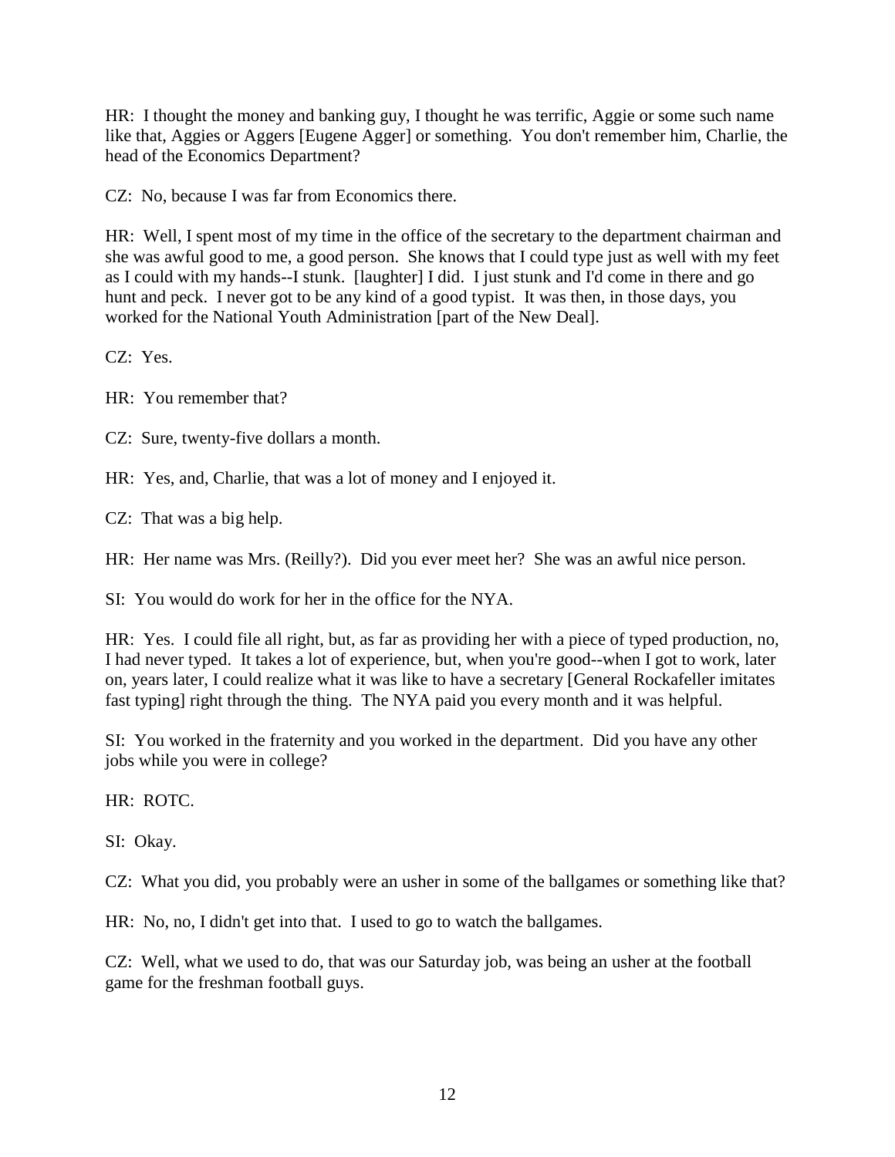HR: I thought the money and banking guy, I thought he was terrific, Aggie or some such name like that, Aggies or Aggers [Eugene Agger] or something. You don't remember him, Charlie, the head of the Economics Department?

CZ: No, because I was far from Economics there.

HR: Well, I spent most of my time in the office of the secretary to the department chairman and she was awful good to me, a good person. She knows that I could type just as well with my feet as I could with my hands--I stunk. [laughter] I did. I just stunk and I'd come in there and go hunt and peck. I never got to be any kind of a good typist. It was then, in those days, you worked for the National Youth Administration [part of the New Deal].

CZ: Yes.

HR: You remember that?

CZ: Sure, twenty-five dollars a month.

HR: Yes, and, Charlie, that was a lot of money and I enjoyed it.

CZ: That was a big help.

HR: Her name was Mrs. (Reilly?). Did you ever meet her? She was an awful nice person.

SI: You would do work for her in the office for the NYA.

HR: Yes. I could file all right, but, as far as providing her with a piece of typed production, no, I had never typed. It takes a lot of experience, but, when you're good--when I got to work, later on, years later, I could realize what it was like to have a secretary [General Rockafeller imitates fast typing] right through the thing. The NYA paid you every month and it was helpful.

SI: You worked in the fraternity and you worked in the department. Did you have any other jobs while you were in college?

HR: ROTC.

SI: Okay.

CZ: What you did, you probably were an usher in some of the ballgames or something like that?

HR: No, no, I didn't get into that. I used to go to watch the ballgames.

CZ: Well, what we used to do, that was our Saturday job, was being an usher at the football game for the freshman football guys.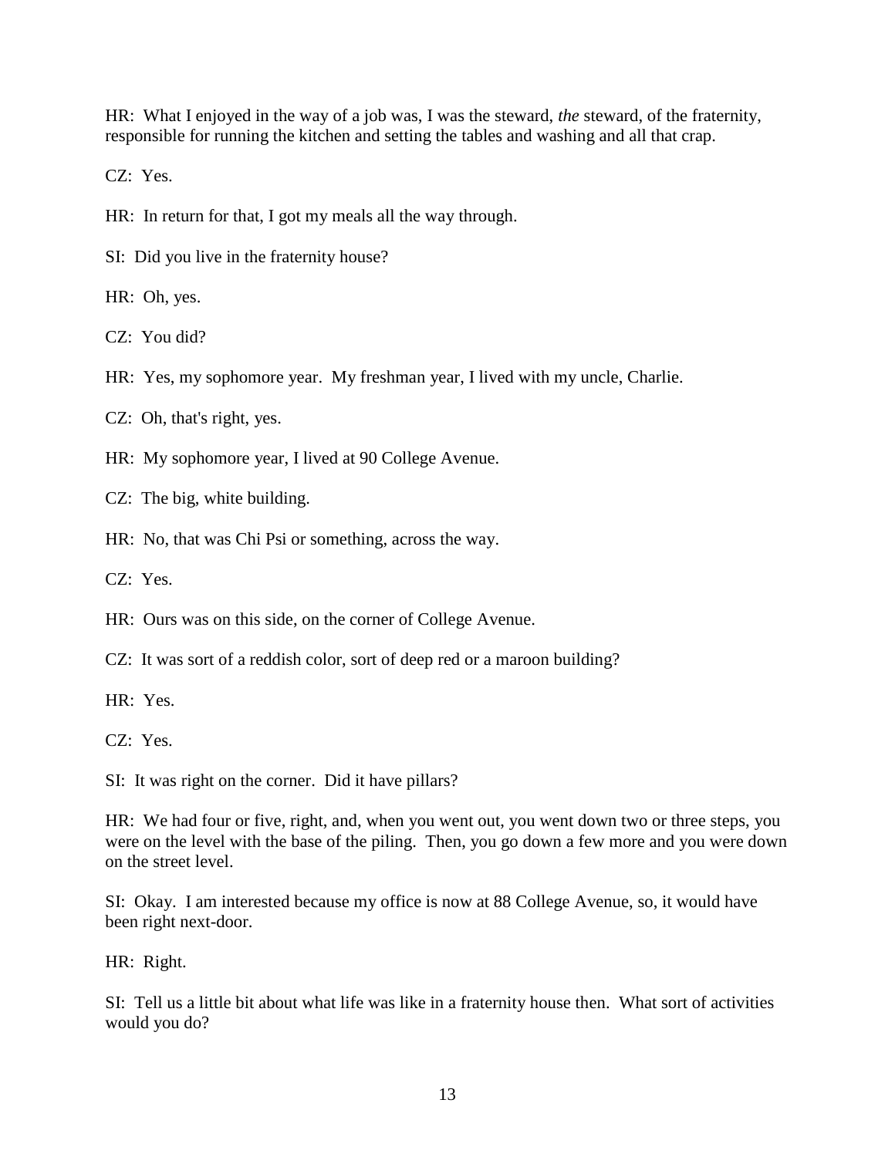HR: What I enjoyed in the way of a job was, I was the steward, *the* steward, of the fraternity, responsible for running the kitchen and setting the tables and washing and all that crap.

CZ: Yes.

HR: In return for that, I got my meals all the way through.

SI: Did you live in the fraternity house?

HR: Oh, yes.

CZ: You did?

HR: Yes, my sophomore year. My freshman year, I lived with my uncle, Charlie.

CZ: Oh, that's right, yes.

HR: My sophomore year, I lived at 90 College Avenue.

CZ: The big, white building.

HR: No, that was Chi Psi or something, across the way.

CZ: Yes.

HR: Ours was on this side, on the corner of College Avenue.

CZ: It was sort of a reddish color, sort of deep red or a maroon building?

HR: Yes.

CZ: Yes.

SI: It was right on the corner. Did it have pillars?

HR: We had four or five, right, and, when you went out, you went down two or three steps, you were on the level with the base of the piling. Then, you go down a few more and you were down on the street level.

SI: Okay. I am interested because my office is now at 88 College Avenue, so, it would have been right next-door.

HR: Right.

SI: Tell us a little bit about what life was like in a fraternity house then. What sort of activities would you do?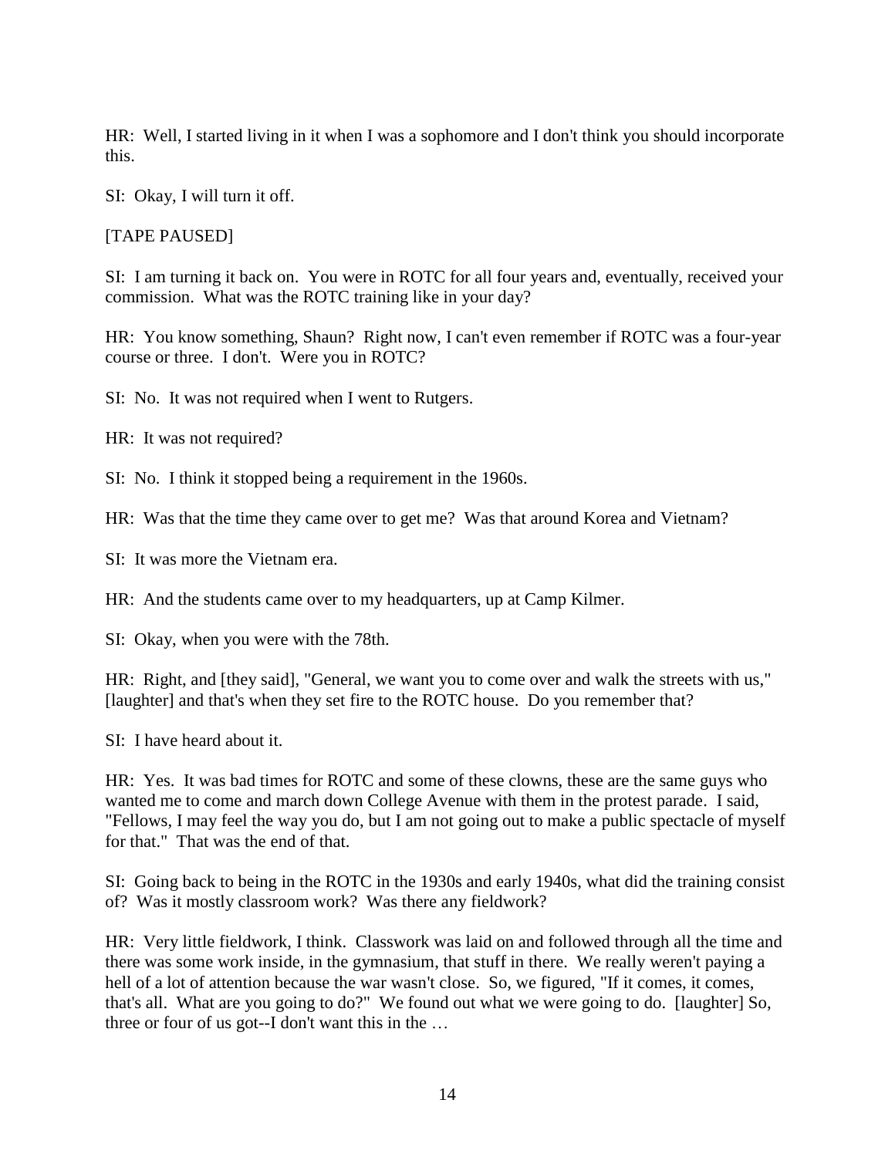HR: Well, I started living in it when I was a sophomore and I don't think you should incorporate this.

SI: Okay, I will turn it off.

[TAPE PAUSED]

SI: I am turning it back on. You were in ROTC for all four years and, eventually, received your commission. What was the ROTC training like in your day?

HR: You know something, Shaun? Right now, I can't even remember if ROTC was a four-year course or three. I don't. Were you in ROTC?

SI: No. It was not required when I went to Rutgers.

HR: It was not required?

SI: No. I think it stopped being a requirement in the 1960s.

HR: Was that the time they came over to get me? Was that around Korea and Vietnam?

SI: It was more the Vietnam era.

HR: And the students came over to my headquarters, up at Camp Kilmer.

SI: Okay, when you were with the 78th.

HR: Right, and [they said], "General, we want you to come over and walk the streets with us," [laughter] and that's when they set fire to the ROTC house. Do you remember that?

SI: I have heard about it.

HR: Yes. It was bad times for ROTC and some of these clowns, these are the same guys who wanted me to come and march down College Avenue with them in the protest parade. I said, "Fellows, I may feel the way you do, but I am not going out to make a public spectacle of myself for that." That was the end of that.

SI: Going back to being in the ROTC in the 1930s and early 1940s, what did the training consist of? Was it mostly classroom work? Was there any fieldwork?

HR: Very little fieldwork, I think. Classwork was laid on and followed through all the time and there was some work inside, in the gymnasium, that stuff in there. We really weren't paying a hell of a lot of attention because the war wasn't close. So, we figured, "If it comes, it comes, that's all. What are you going to do?" We found out what we were going to do. [laughter] So, three or four of us got--I don't want this in the …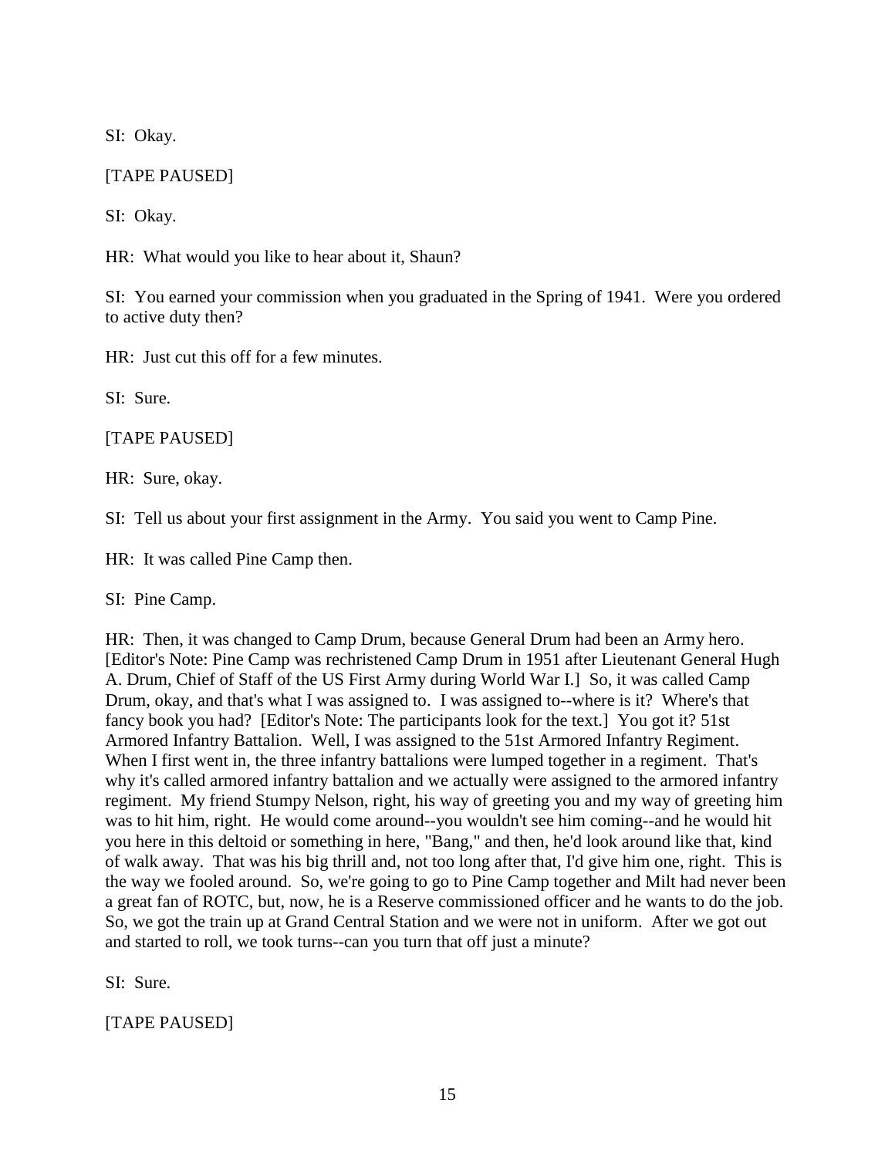SI: Okay.

# [TAPE PAUSED]

SI: Okay.

HR: What would you like to hear about it, Shaun?

SI: You earned your commission when you graduated in the Spring of 1941. Were you ordered to active duty then?

HR: Just cut this off for a few minutes.

SI: Sure.

[TAPE PAUSED]

HR: Sure, okay.

SI: Tell us about your first assignment in the Army. You said you went to Camp Pine.

HR: It was called Pine Camp then.

SI: Pine Camp.

HR: Then, it was changed to Camp Drum, because General Drum had been an Army hero. [Editor's Note: Pine Camp was rechristened Camp Drum in 1951 after Lieutenant General Hugh A. Drum, Chief of Staff of the US First Army during World War I.] So, it was called Camp Drum, okay, and that's what I was assigned to. I was assigned to--where is it? Where's that fancy book you had? [Editor's Note: The participants look for the text.] You got it? 51st Armored Infantry Battalion. Well, I was assigned to the 51st Armored Infantry Regiment. When I first went in, the three infantry battalions were lumped together in a regiment. That's why it's called armored infantry battalion and we actually were assigned to the armored infantry regiment. My friend Stumpy Nelson, right, his way of greeting you and my way of greeting him was to hit him, right. He would come around--you wouldn't see him coming--and he would hit you here in this deltoid or something in here, "Bang," and then, he'd look around like that, kind of walk away. That was his big thrill and, not too long after that, I'd give him one, right. This is the way we fooled around. So, we're going to go to Pine Camp together and Milt had never been a great fan of ROTC, but, now, he is a Reserve commissioned officer and he wants to do the job. So, we got the train up at Grand Central Station and we were not in uniform. After we got out and started to roll, we took turns--can you turn that off just a minute?

SI: Sure.

[TAPE PAUSED]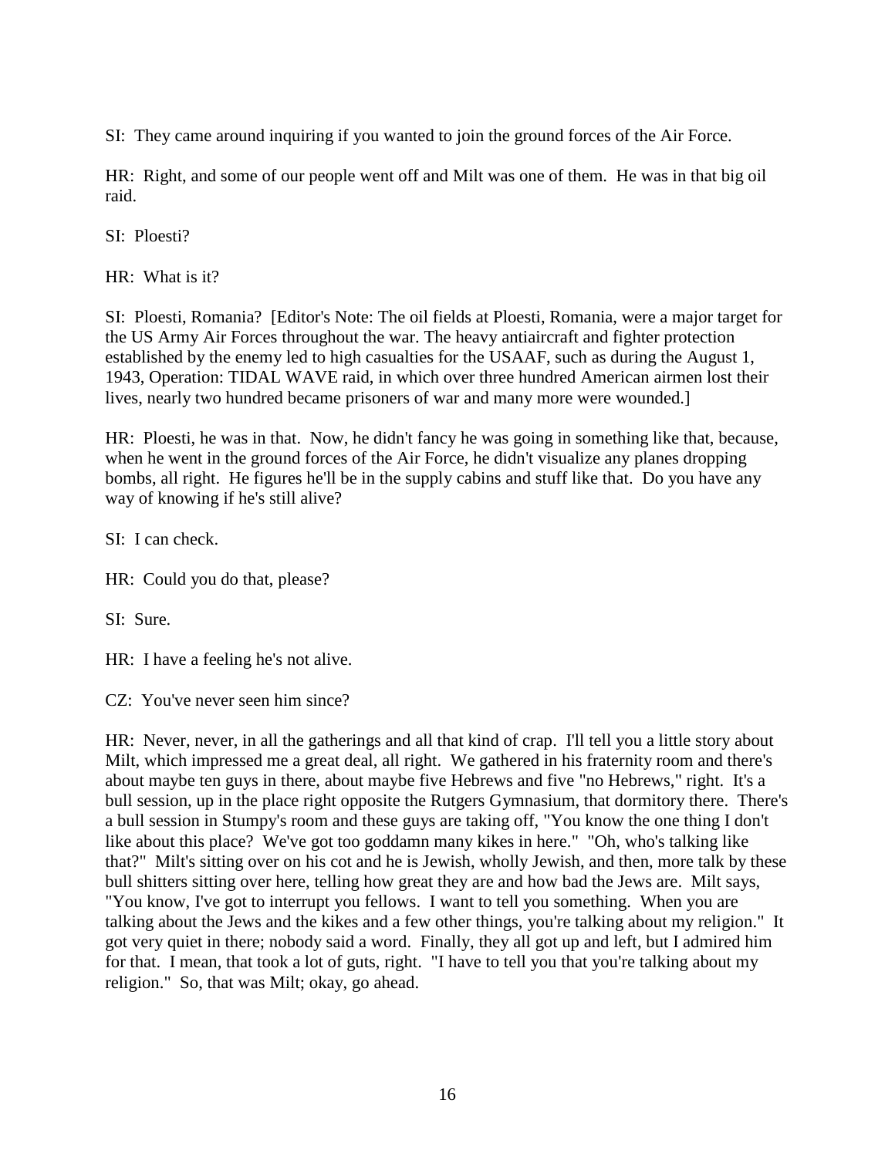SI: They came around inquiring if you wanted to join the ground forces of the Air Force.

HR: Right, and some of our people went off and Milt was one of them. He was in that big oil raid.

SI: Ploesti?

HR: What is it?

SI: Ploesti, Romania? [Editor's Note: The oil fields at Ploesti, Romania, were a major target for the US Army Air Forces throughout the war. The heavy antiaircraft and fighter protection established by the enemy led to high casualties for the USAAF, such as during the August 1, 1943, Operation: TIDAL WAVE raid, in which over three hundred American airmen lost their lives, nearly two hundred became prisoners of war and many more were wounded.]

HR: Ploesti, he was in that. Now, he didn't fancy he was going in something like that, because, when he went in the ground forces of the Air Force, he didn't visualize any planes dropping bombs, all right. He figures he'll be in the supply cabins and stuff like that. Do you have any way of knowing if he's still alive?

SI: I can check.

HR: Could you do that, please?

SI: Sure.

HR: I have a feeling he's not alive.

CZ: You've never seen him since?

HR: Never, never, in all the gatherings and all that kind of crap. I'll tell you a little story about Milt, which impressed me a great deal, all right. We gathered in his fraternity room and there's about maybe ten guys in there, about maybe five Hebrews and five "no Hebrews," right. It's a bull session, up in the place right opposite the Rutgers Gymnasium, that dormitory there. There's a bull session in Stumpy's room and these guys are taking off, "You know the one thing I don't like about this place? We've got too goddamn many kikes in here." "Oh, who's talking like that?" Milt's sitting over on his cot and he is Jewish, wholly Jewish, and then, more talk by these bull shitters sitting over here, telling how great they are and how bad the Jews are. Milt says, "You know, I've got to interrupt you fellows. I want to tell you something. When you are talking about the Jews and the kikes and a few other things, you're talking about my religion." It got very quiet in there; nobody said a word. Finally, they all got up and left, but I admired him for that. I mean, that took a lot of guts, right. "I have to tell you that you're talking about my religion." So, that was Milt; okay, go ahead.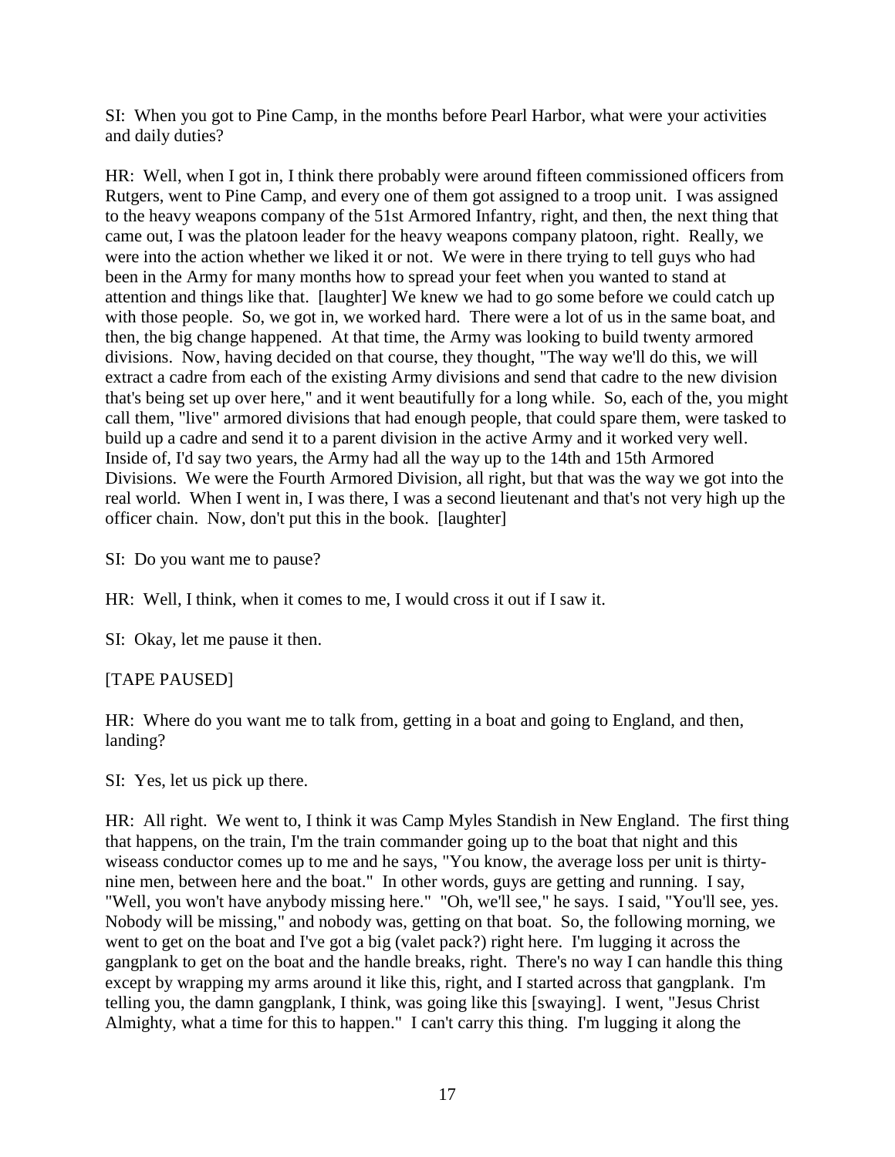SI: When you got to Pine Camp, in the months before Pearl Harbor, what were your activities and daily duties?

HR: Well, when I got in, I think there probably were around fifteen commissioned officers from Rutgers, went to Pine Camp, and every one of them got assigned to a troop unit. I was assigned to the heavy weapons company of the 51st Armored Infantry, right, and then, the next thing that came out, I was the platoon leader for the heavy weapons company platoon, right. Really, we were into the action whether we liked it or not. We were in there trying to tell guys who had been in the Army for many months how to spread your feet when you wanted to stand at attention and things like that. [laughter] We knew we had to go some before we could catch up with those people. So, we got in, we worked hard. There were a lot of us in the same boat, and then, the big change happened. At that time, the Army was looking to build twenty armored divisions. Now, having decided on that course, they thought, "The way we'll do this, we will extract a cadre from each of the existing Army divisions and send that cadre to the new division that's being set up over here," and it went beautifully for a long while. So, each of the, you might call them, "live" armored divisions that had enough people, that could spare them, were tasked to build up a cadre and send it to a parent division in the active Army and it worked very well. Inside of, I'd say two years, the Army had all the way up to the 14th and 15th Armored Divisions. We were the Fourth Armored Division, all right, but that was the way we got into the real world. When I went in, I was there, I was a second lieutenant and that's not very high up the officer chain. Now, don't put this in the book. [laughter]

SI: Do you want me to pause?

HR: Well, I think, when it comes to me, I would cross it out if I saw it.

SI: Okay, let me pause it then.

## [TAPE PAUSED]

HR: Where do you want me to talk from, getting in a boat and going to England, and then, landing?

SI: Yes, let us pick up there.

HR: All right. We went to, I think it was Camp Myles Standish in New England. The first thing that happens, on the train, I'm the train commander going up to the boat that night and this wiseass conductor comes up to me and he says, "You know, the average loss per unit is thirtynine men, between here and the boat." In other words, guys are getting and running. I say, "Well, you won't have anybody missing here." "Oh, we'll see," he says. I said, "You'll see, yes. Nobody will be missing," and nobody was, getting on that boat. So, the following morning, we went to get on the boat and I've got a big (valet pack?) right here. I'm lugging it across the gangplank to get on the boat and the handle breaks, right. There's no way I can handle this thing except by wrapping my arms around it like this, right, and I started across that gangplank. I'm telling you, the damn gangplank, I think, was going like this [swaying]. I went, "Jesus Christ Almighty, what a time for this to happen." I can't carry this thing. I'm lugging it along the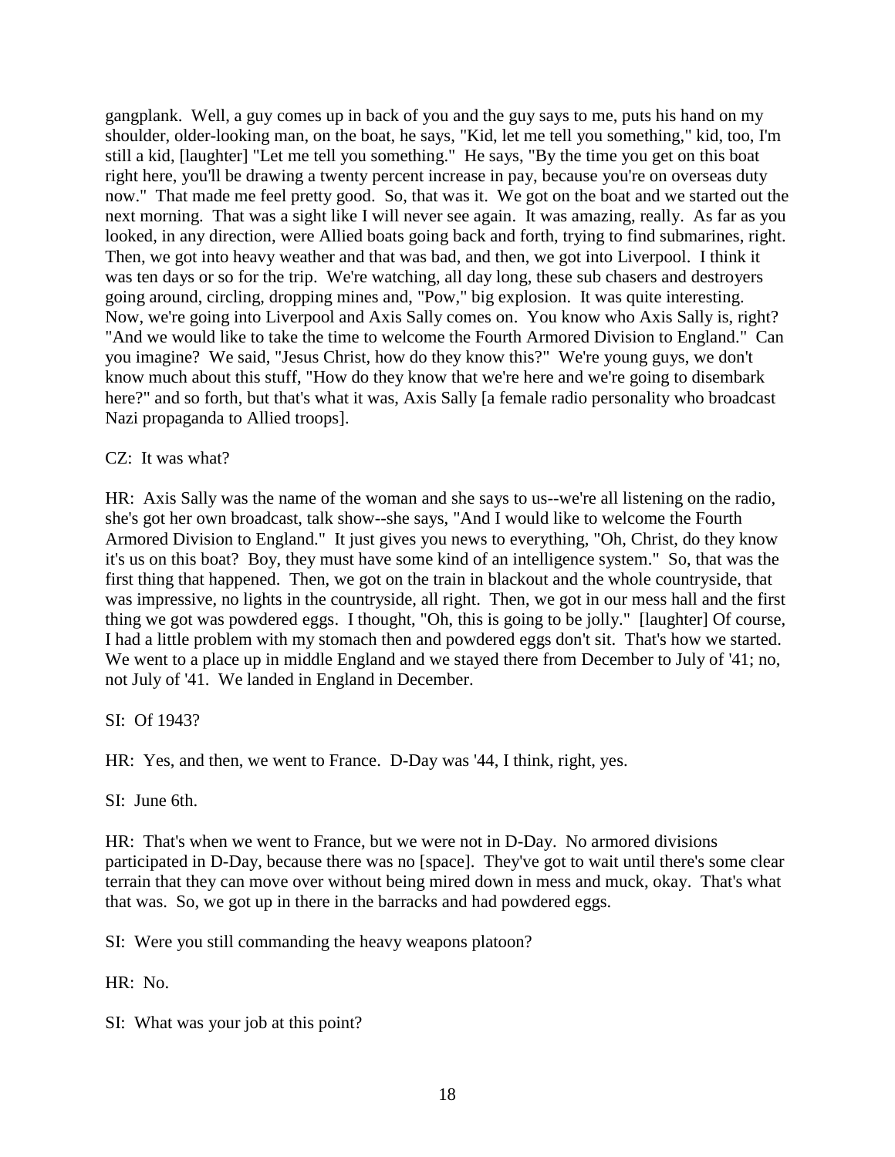gangplank. Well, a guy comes up in back of you and the guy says to me, puts his hand on my shoulder, older-looking man, on the boat, he says, "Kid, let me tell you something," kid, too, I'm still a kid, [laughter] "Let me tell you something." He says, "By the time you get on this boat right here, you'll be drawing a twenty percent increase in pay, because you're on overseas duty now." That made me feel pretty good. So, that was it. We got on the boat and we started out the next morning. That was a sight like I will never see again. It was amazing, really. As far as you looked, in any direction, were Allied boats going back and forth, trying to find submarines, right. Then, we got into heavy weather and that was bad, and then, we got into Liverpool. I think it was ten days or so for the trip. We're watching, all day long, these sub chasers and destroyers going around, circling, dropping mines and, "Pow," big explosion. It was quite interesting. Now, we're going into Liverpool and Axis Sally comes on. You know who Axis Sally is, right? "And we would like to take the time to welcome the Fourth Armored Division to England." Can you imagine? We said, "Jesus Christ, how do they know this?" We're young guys, we don't know much about this stuff, "How do they know that we're here and we're going to disembark here?" and so forth, but that's what it was, Axis Sally [a female radio personality who broadcast Nazi propaganda to Allied troops].

#### CZ: It was what?

HR: Axis Sally was the name of the woman and she says to us--we're all listening on the radio, she's got her own broadcast, talk show--she says, "And I would like to welcome the Fourth Armored Division to England." It just gives you news to everything, "Oh, Christ, do they know it's us on this boat? Boy, they must have some kind of an intelligence system." So, that was the first thing that happened. Then, we got on the train in blackout and the whole countryside, that was impressive, no lights in the countryside, all right. Then, we got in our mess hall and the first thing we got was powdered eggs. I thought, "Oh, this is going to be jolly." [laughter] Of course, I had a little problem with my stomach then and powdered eggs don't sit. That's how we started. We went to a place up in middle England and we stayed there from December to July of '41; no, not July of '41. We landed in England in December.

SI: Of 1943?

HR: Yes, and then, we went to France. D-Day was '44, I think, right, yes.

SI: June 6th.

HR: That's when we went to France, but we were not in D-Day. No armored divisions participated in D-Day, because there was no [space]. They've got to wait until there's some clear terrain that they can move over without being mired down in mess and muck, okay. That's what that was. So, we got up in there in the barracks and had powdered eggs.

SI: Were you still commanding the heavy weapons platoon?

HR: No.

SI: What was your job at this point?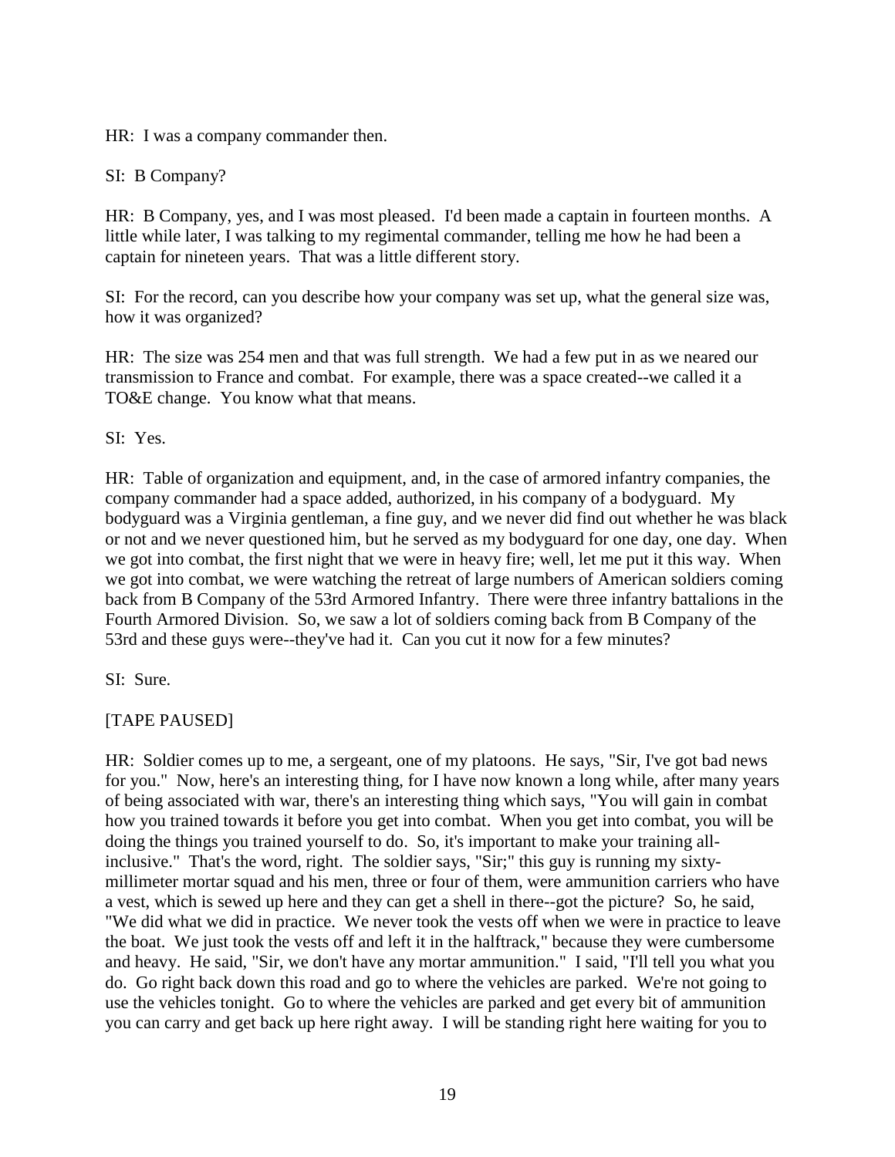HR: I was a company commander then.

SI: B Company?

HR: B Company, yes, and I was most pleased. I'd been made a captain in fourteen months. A little while later, I was talking to my regimental commander, telling me how he had been a captain for nineteen years. That was a little different story.

SI: For the record, can you describe how your company was set up, what the general size was, how it was organized?

HR: The size was 254 men and that was full strength. We had a few put in as we neared our transmission to France and combat. For example, there was a space created--we called it a TO&E change. You know what that means.

SI: Yes.

HR: Table of organization and equipment, and, in the case of armored infantry companies, the company commander had a space added, authorized, in his company of a bodyguard. My bodyguard was a Virginia gentleman, a fine guy, and we never did find out whether he was black or not and we never questioned him, but he served as my bodyguard for one day, one day. When we got into combat, the first night that we were in heavy fire; well, let me put it this way. When we got into combat, we were watching the retreat of large numbers of American soldiers coming back from B Company of the 53rd Armored Infantry. There were three infantry battalions in the Fourth Armored Division. So, we saw a lot of soldiers coming back from B Company of the 53rd and these guys were--they've had it. Can you cut it now for a few minutes?

SI: Sure.

# [TAPE PAUSED]

HR: Soldier comes up to me, a sergeant, one of my platoons. He says, "Sir, I've got bad news for you." Now, here's an interesting thing, for I have now known a long while, after many years of being associated with war, there's an interesting thing which says, "You will gain in combat how you trained towards it before you get into combat. When you get into combat, you will be doing the things you trained yourself to do. So, it's important to make your training allinclusive." That's the word, right. The soldier says, "Sir;" this guy is running my sixtymillimeter mortar squad and his men, three or four of them, were ammunition carriers who have a vest, which is sewed up here and they can get a shell in there--got the picture? So, he said, "We did what we did in practice. We never took the vests off when we were in practice to leave the boat. We just took the vests off and left it in the halftrack," because they were cumbersome and heavy. He said, "Sir, we don't have any mortar ammunition." I said, "I'll tell you what you do. Go right back down this road and go to where the vehicles are parked. We're not going to use the vehicles tonight. Go to where the vehicles are parked and get every bit of ammunition you can carry and get back up here right away. I will be standing right here waiting for you to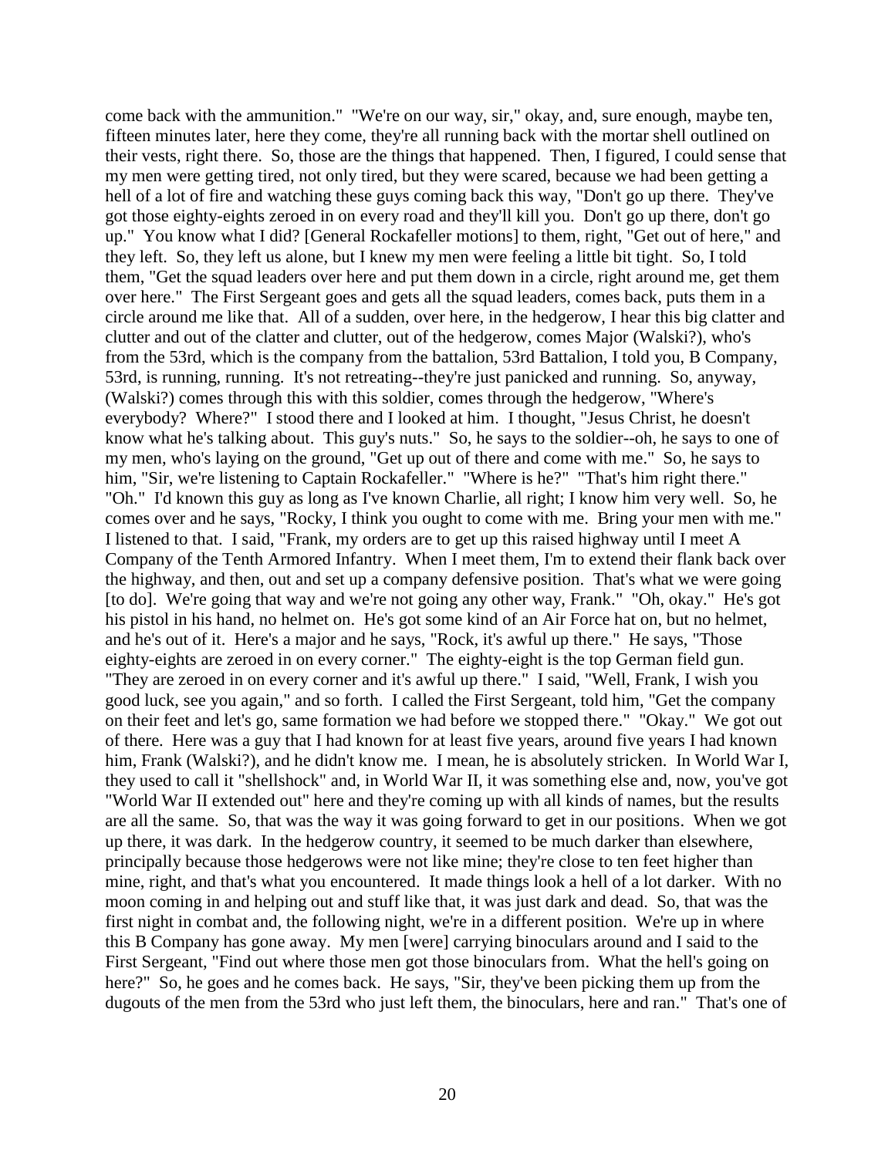come back with the ammunition." "We're on our way, sir," okay, and, sure enough, maybe ten, fifteen minutes later, here they come, they're all running back with the mortar shell outlined on their vests, right there. So, those are the things that happened. Then, I figured, I could sense that my men were getting tired, not only tired, but they were scared, because we had been getting a hell of a lot of fire and watching these guys coming back this way, "Don't go up there. They've got those eighty-eights zeroed in on every road and they'll kill you. Don't go up there, don't go up." You know what I did? [General Rockafeller motions] to them, right, "Get out of here," and they left. So, they left us alone, but I knew my men were feeling a little bit tight. So, I told them, "Get the squad leaders over here and put them down in a circle, right around me, get them over here." The First Sergeant goes and gets all the squad leaders, comes back, puts them in a circle around me like that. All of a sudden, over here, in the hedgerow, I hear this big clatter and clutter and out of the clatter and clutter, out of the hedgerow, comes Major (Walski?), who's from the 53rd, which is the company from the battalion, 53rd Battalion, I told you, B Company, 53rd, is running, running. It's not retreating--they're just panicked and running. So, anyway, (Walski?) comes through this with this soldier, comes through the hedgerow, "Where's everybody? Where?" I stood there and I looked at him. I thought, "Jesus Christ, he doesn't know what he's talking about. This guy's nuts." So, he says to the soldier--oh, he says to one of my men, who's laying on the ground, "Get up out of there and come with me." So, he says to him, "Sir, we're listening to Captain Rockafeller." "Where is he?" "That's him right there." "Oh." I'd known this guy as long as I've known Charlie, all right; I know him very well. So, he comes over and he says, "Rocky, I think you ought to come with me. Bring your men with me." I listened to that. I said, "Frank, my orders are to get up this raised highway until I meet A Company of the Tenth Armored Infantry. When I meet them, I'm to extend their flank back over the highway, and then, out and set up a company defensive position. That's what we were going [to do]. We're going that way and we're not going any other way, Frank." "Oh, okay." He's got his pistol in his hand, no helmet on. He's got some kind of an Air Force hat on, but no helmet, and he's out of it. Here's a major and he says, "Rock, it's awful up there." He says, "Those eighty-eights are zeroed in on every corner." The eighty-eight is the top German field gun. "They are zeroed in on every corner and it's awful up there." I said, "Well, Frank, I wish you good luck, see you again," and so forth. I called the First Sergeant, told him, "Get the company on their feet and let's go, same formation we had before we stopped there." "Okay." We got out of there. Here was a guy that I had known for at least five years, around five years I had known him, Frank (Walski?), and he didn't know me. I mean, he is absolutely stricken. In World War I, they used to call it "shellshock" and, in World War II, it was something else and, now, you've got "World War II extended out" here and they're coming up with all kinds of names, but the results are all the same. So, that was the way it was going forward to get in our positions. When we got up there, it was dark. In the hedgerow country, it seemed to be much darker than elsewhere, principally because those hedgerows were not like mine; they're close to ten feet higher than mine, right, and that's what you encountered. It made things look a hell of a lot darker. With no moon coming in and helping out and stuff like that, it was just dark and dead. So, that was the first night in combat and, the following night, we're in a different position. We're up in where this B Company has gone away. My men [were] carrying binoculars around and I said to the First Sergeant, "Find out where those men got those binoculars from. What the hell's going on here?" So, he goes and he comes back. He says, "Sir, they've been picking them up from the dugouts of the men from the 53rd who just left them, the binoculars, here and ran." That's one of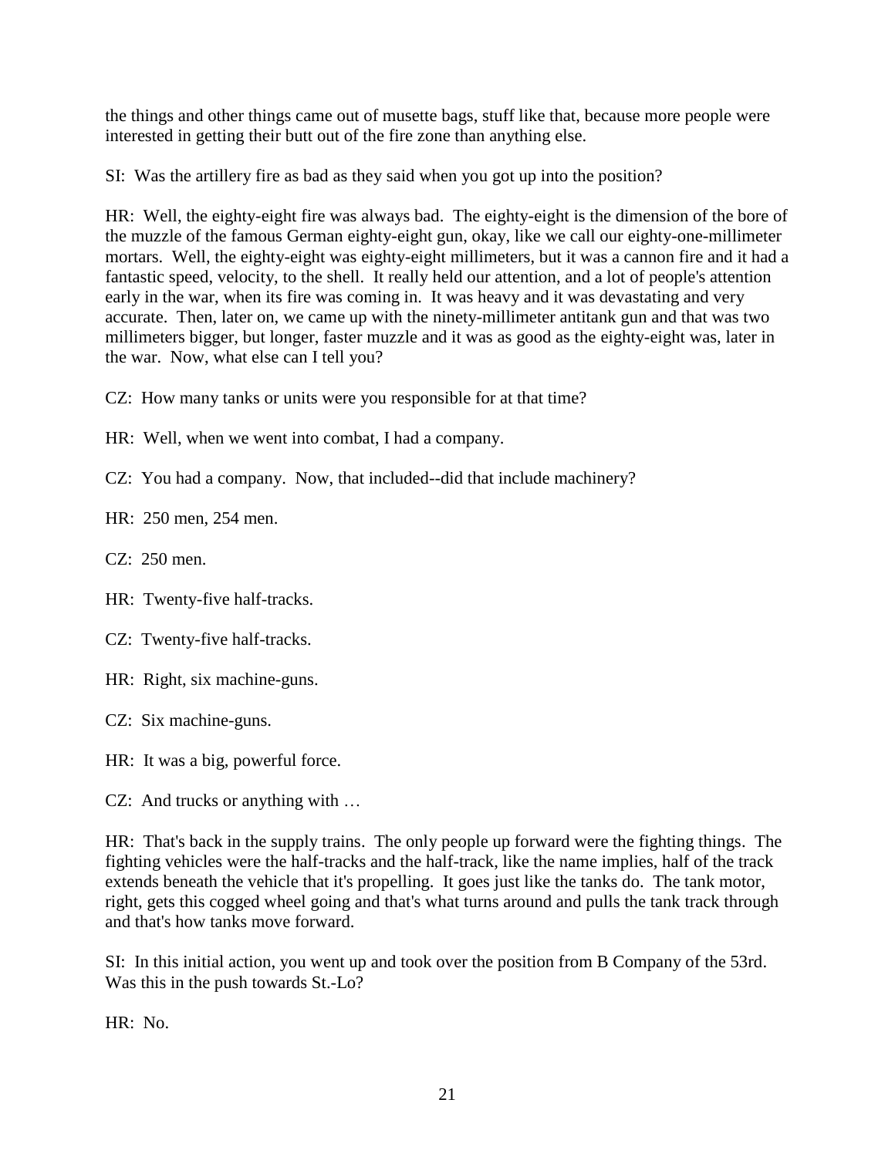the things and other things came out of musette bags, stuff like that, because more people were interested in getting their butt out of the fire zone than anything else.

SI: Was the artillery fire as bad as they said when you got up into the position?

HR: Well, the eighty-eight fire was always bad. The eighty-eight is the dimension of the bore of the muzzle of the famous German eighty-eight gun, okay, like we call our eighty-one-millimeter mortars. Well, the eighty-eight was eighty-eight millimeters, but it was a cannon fire and it had a fantastic speed, velocity, to the shell. It really held our attention, and a lot of people's attention early in the war, when its fire was coming in. It was heavy and it was devastating and very accurate. Then, later on, we came up with the ninety-millimeter antitank gun and that was two millimeters bigger, but longer, faster muzzle and it was as good as the eighty-eight was, later in the war. Now, what else can I tell you?

CZ: How many tanks or units were you responsible for at that time?

HR: Well, when we went into combat, I had a company.

CZ: You had a company. Now, that included--did that include machinery?

HR: 250 men, 254 men.

CZ: 250 men.

HR: Twenty-five half-tracks.

CZ: Twenty-five half-tracks.

HR: Right, six machine-guns.

CZ: Six machine-guns.

HR: It was a big, powerful force.

CZ: And trucks or anything with …

HR: That's back in the supply trains. The only people up forward were the fighting things. The fighting vehicles were the half-tracks and the half-track, like the name implies, half of the track extends beneath the vehicle that it's propelling. It goes just like the tanks do. The tank motor, right, gets this cogged wheel going and that's what turns around and pulls the tank track through and that's how tanks move forward.

SI: In this initial action, you went up and took over the position from B Company of the 53rd. Was this in the push towards St.-Lo?

HR: No.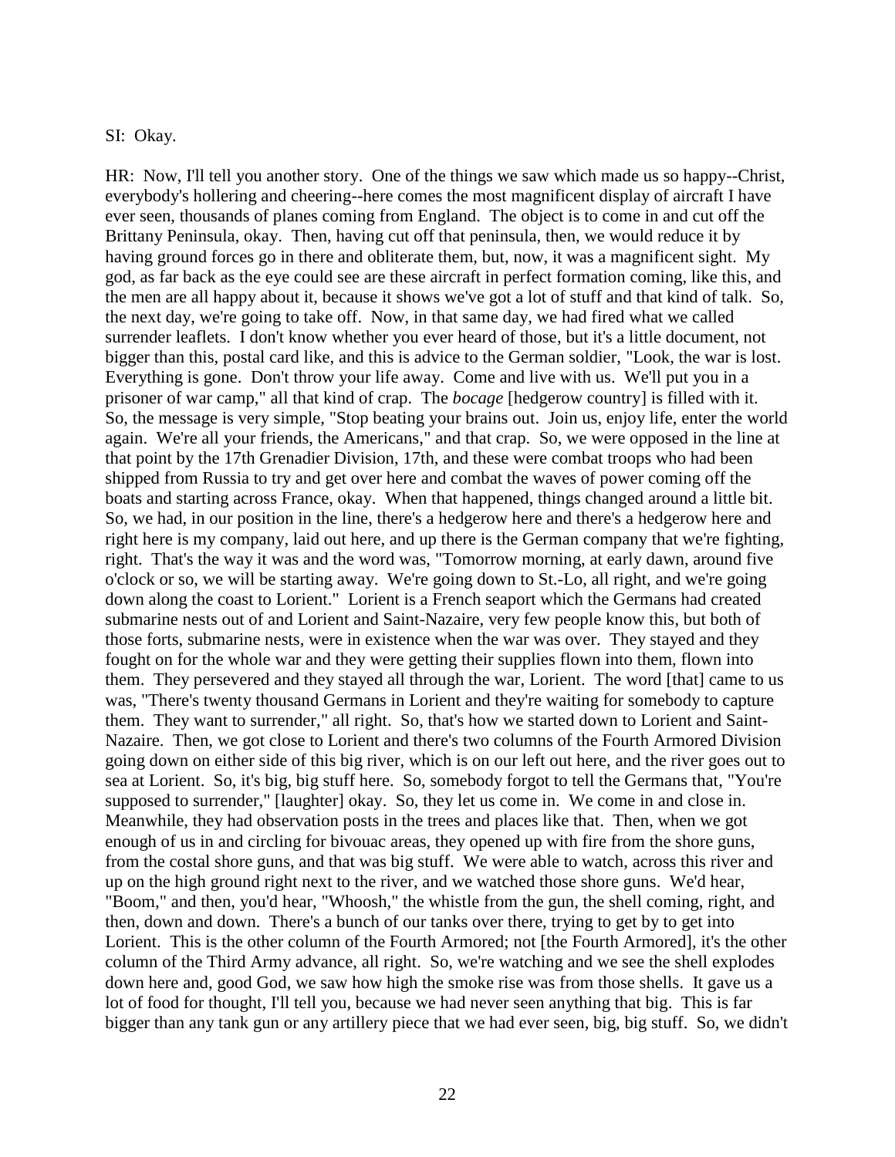#### SI: Okay.

HR: Now, I'll tell you another story. One of the things we saw which made us so happy--Christ, everybody's hollering and cheering--here comes the most magnificent display of aircraft I have ever seen, thousands of planes coming from England. The object is to come in and cut off the Brittany Peninsula, okay. Then, having cut off that peninsula, then, we would reduce it by having ground forces go in there and obliterate them, but, now, it was a magnificent sight. My god, as far back as the eye could see are these aircraft in perfect formation coming, like this, and the men are all happy about it, because it shows we've got a lot of stuff and that kind of talk. So, the next day, we're going to take off. Now, in that same day, we had fired what we called surrender leaflets. I don't know whether you ever heard of those, but it's a little document, not bigger than this, postal card like, and this is advice to the German soldier, "Look, the war is lost. Everything is gone. Don't throw your life away. Come and live with us. We'll put you in a prisoner of war camp," all that kind of crap. The *bocage* [hedgerow country] is filled with it. So, the message is very simple, "Stop beating your brains out. Join us, enjoy life, enter the world again. We're all your friends, the Americans," and that crap. So, we were opposed in the line at that point by the 17th Grenadier Division, 17th, and these were combat troops who had been shipped from Russia to try and get over here and combat the waves of power coming off the boats and starting across France, okay. When that happened, things changed around a little bit. So, we had, in our position in the line, there's a hedgerow here and there's a hedgerow here and right here is my company, laid out here, and up there is the German company that we're fighting, right. That's the way it was and the word was, "Tomorrow morning, at early dawn, around five o'clock or so, we will be starting away. We're going down to St.-Lo, all right, and we're going down along the coast to Lorient." Lorient is a French seaport which the Germans had created submarine nests out of and Lorient and Saint-Nazaire, very few people know this, but both of those forts, submarine nests, were in existence when the war was over. They stayed and they fought on for the whole war and they were getting their supplies flown into them, flown into them. They persevered and they stayed all through the war, Lorient. The word [that] came to us was, "There's twenty thousand Germans in Lorient and they're waiting for somebody to capture them. They want to surrender," all right. So, that's how we started down to Lorient and Saint-Nazaire. Then, we got close to Lorient and there's two columns of the Fourth Armored Division going down on either side of this big river, which is on our left out here, and the river goes out to sea at Lorient. So, it's big, big stuff here. So, somebody forgot to tell the Germans that, "You're supposed to surrender," [laughter] okay. So, they let us come in. We come in and close in. Meanwhile, they had observation posts in the trees and places like that. Then, when we got enough of us in and circling for bivouac areas, they opened up with fire from the shore guns, from the costal shore guns, and that was big stuff. We were able to watch, across this river and up on the high ground right next to the river, and we watched those shore guns. We'd hear, "Boom," and then, you'd hear, "Whoosh," the whistle from the gun, the shell coming, right, and then, down and down. There's a bunch of our tanks over there, trying to get by to get into Lorient. This is the other column of the Fourth Armored; not [the Fourth Armored], it's the other column of the Third Army advance, all right. So, we're watching and we see the shell explodes down here and, good God, we saw how high the smoke rise was from those shells. It gave us a lot of food for thought, I'll tell you, because we had never seen anything that big. This is far bigger than any tank gun or any artillery piece that we had ever seen, big, big stuff. So, we didn't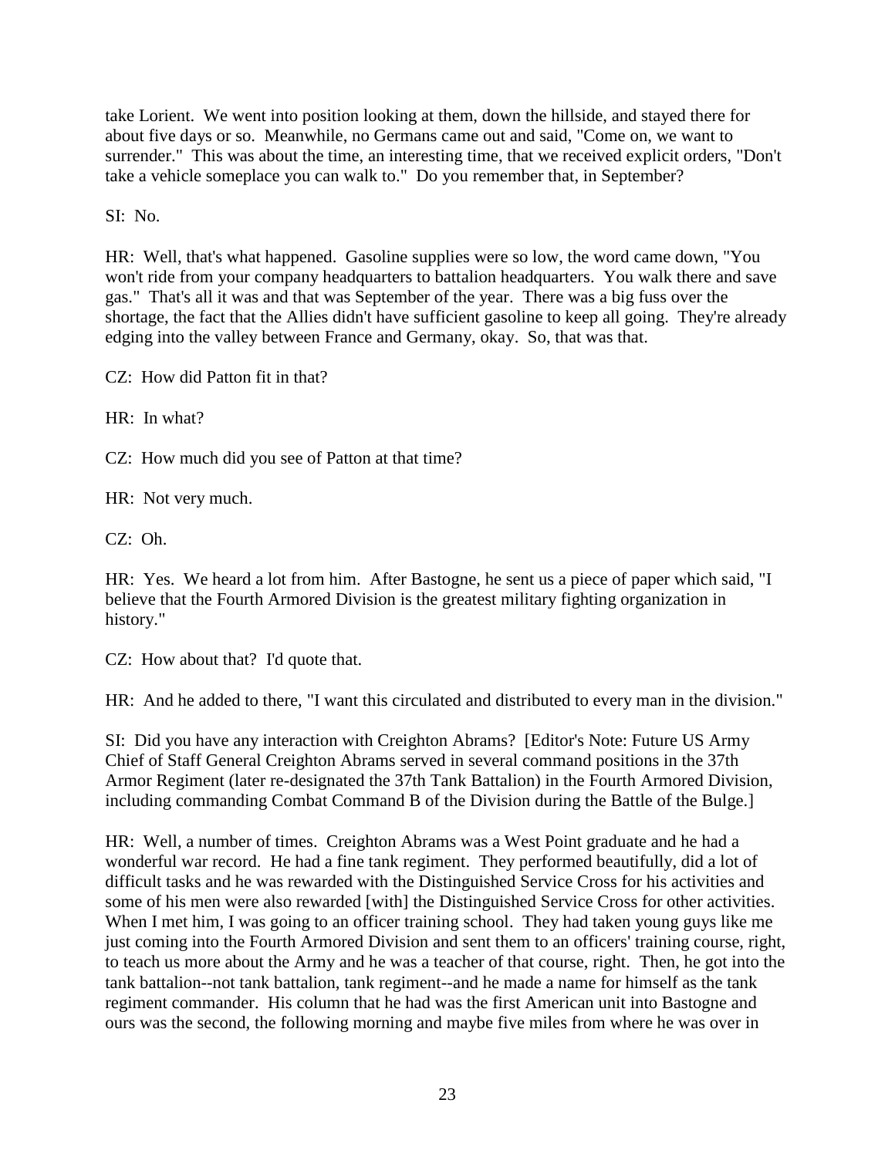take Lorient. We went into position looking at them, down the hillside, and stayed there for about five days or so. Meanwhile, no Germans came out and said, "Come on, we want to surrender." This was about the time, an interesting time, that we received explicit orders, "Don't take a vehicle someplace you can walk to." Do you remember that, in September?

SI: No.

HR: Well, that's what happened. Gasoline supplies were so low, the word came down, "You won't ride from your company headquarters to battalion headquarters. You walk there and save gas." That's all it was and that was September of the year. There was a big fuss over the shortage, the fact that the Allies didn't have sufficient gasoline to keep all going. They're already edging into the valley between France and Germany, okay. So, that was that.

CZ: How did Patton fit in that?

HR: In what?

CZ: How much did you see of Patton at that time?

HR: Not very much.

CZ: Oh.

HR: Yes. We heard a lot from him. After Bastogne, he sent us a piece of paper which said, "I believe that the Fourth Armored Division is the greatest military fighting organization in history."

CZ: How about that? I'd quote that.

HR: And he added to there, "I want this circulated and distributed to every man in the division."

SI: Did you have any interaction with Creighton Abrams? [Editor's Note: Future US Army Chief of Staff General Creighton Abrams served in several command positions in the 37th Armor Regiment (later re-designated the 37th Tank Battalion) in the Fourth Armored Division, including commanding Combat Command B of the Division during the Battle of the Bulge.]

HR: Well, a number of times. Creighton Abrams was a West Point graduate and he had a wonderful war record. He had a fine tank regiment. They performed beautifully, did a lot of difficult tasks and he was rewarded with the Distinguished Service Cross for his activities and some of his men were also rewarded [with] the Distinguished Service Cross for other activities. When I met him, I was going to an officer training school. They had taken young guys like me just coming into the Fourth Armored Division and sent them to an officers' training course, right, to teach us more about the Army and he was a teacher of that course, right. Then, he got into the tank battalion--not tank battalion, tank regiment--and he made a name for himself as the tank regiment commander. His column that he had was the first American unit into Bastogne and ours was the second, the following morning and maybe five miles from where he was over in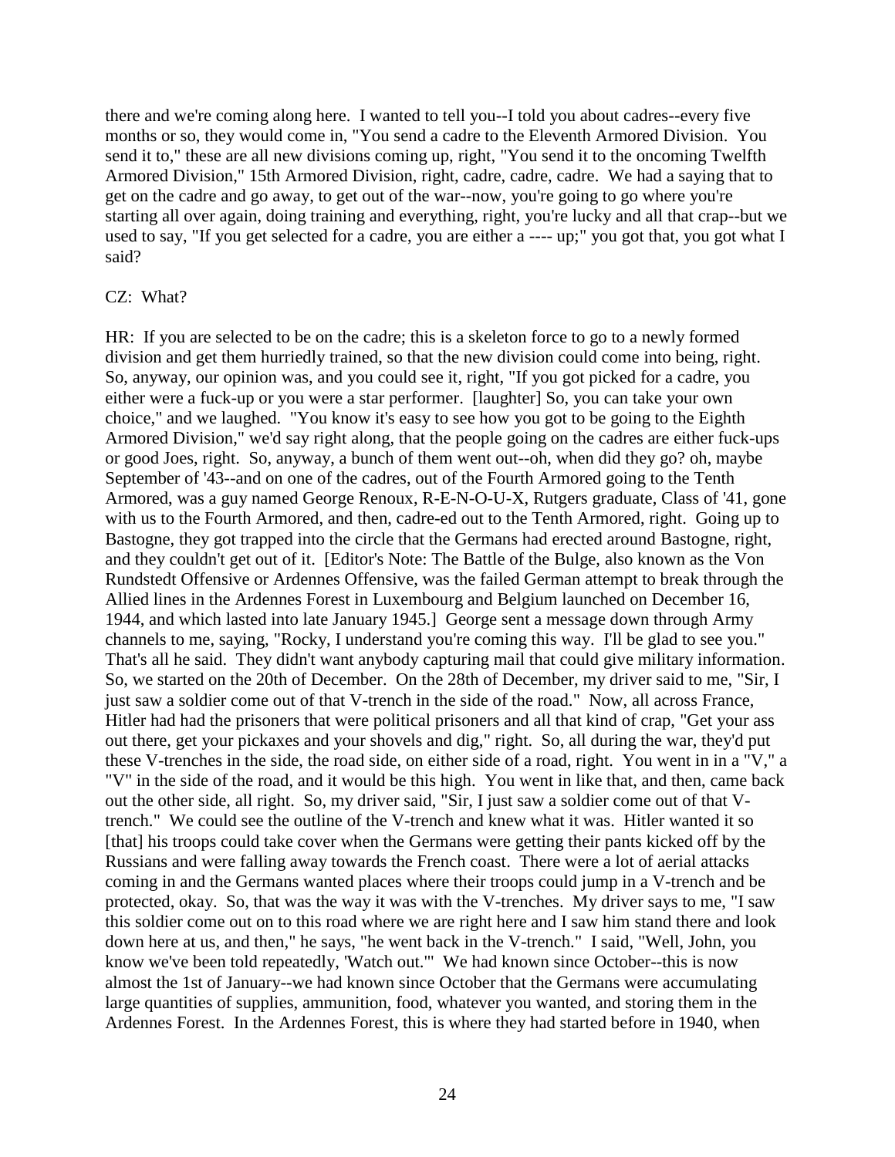there and we're coming along here. I wanted to tell you--I told you about cadres--every five months or so, they would come in, "You send a cadre to the Eleventh Armored Division. You send it to," these are all new divisions coming up, right, "You send it to the oncoming Twelfth Armored Division," 15th Armored Division, right, cadre, cadre, cadre. We had a saying that to get on the cadre and go away, to get out of the war--now, you're going to go where you're starting all over again, doing training and everything, right, you're lucky and all that crap--but we used to say, "If you get selected for a cadre, you are either a ---- up;" you got that, you got what I said?

#### CZ: What?

HR: If you are selected to be on the cadre; this is a skeleton force to go to a newly formed division and get them hurriedly trained, so that the new division could come into being, right. So, anyway, our opinion was, and you could see it, right, "If you got picked for a cadre, you either were a fuck-up or you were a star performer. [laughter] So, you can take your own choice," and we laughed. "You know it's easy to see how you got to be going to the Eighth Armored Division," we'd say right along, that the people going on the cadres are either fuck-ups or good Joes, right. So, anyway, a bunch of them went out--oh, when did they go? oh, maybe September of '43--and on one of the cadres, out of the Fourth Armored going to the Tenth Armored, was a guy named George Renoux, R-E-N-O-U-X, Rutgers graduate, Class of '41, gone with us to the Fourth Armored, and then, cadre-ed out to the Tenth Armored, right. Going up to Bastogne, they got trapped into the circle that the Germans had erected around Bastogne, right, and they couldn't get out of it. [Editor's Note: The Battle of the Bulge, also known as the Von Rundstedt Offensive or Ardennes Offensive, was the failed German attempt to break through the Allied lines in the Ardennes Forest in Luxembourg and Belgium launched on December 16, 1944, and which lasted into late January 1945.] George sent a message down through Army channels to me, saying, "Rocky, I understand you're coming this way. I'll be glad to see you." That's all he said. They didn't want anybody capturing mail that could give military information. So, we started on the 20th of December. On the 28th of December, my driver said to me, "Sir, I just saw a soldier come out of that V-trench in the side of the road." Now, all across France, Hitler had had the prisoners that were political prisoners and all that kind of crap, "Get your ass out there, get your pickaxes and your shovels and dig," right. So, all during the war, they'd put these V-trenches in the side, the road side, on either side of a road, right. You went in in a "V," a "V" in the side of the road, and it would be this high. You went in like that, and then, came back out the other side, all right. So, my driver said, "Sir, I just saw a soldier come out of that Vtrench." We could see the outline of the V-trench and knew what it was. Hitler wanted it so [that] his troops could take cover when the Germans were getting their pants kicked off by the Russians and were falling away towards the French coast. There were a lot of aerial attacks coming in and the Germans wanted places where their troops could jump in a V-trench and be protected, okay. So, that was the way it was with the V-trenches. My driver says to me, "I saw this soldier come out on to this road where we are right here and I saw him stand there and look down here at us, and then," he says, "he went back in the V-trench." I said, "Well, John, you know we've been told repeatedly, 'Watch out.'" We had known since October--this is now almost the 1st of January--we had known since October that the Germans were accumulating large quantities of supplies, ammunition, food, whatever you wanted, and storing them in the Ardennes Forest. In the Ardennes Forest, this is where they had started before in 1940, when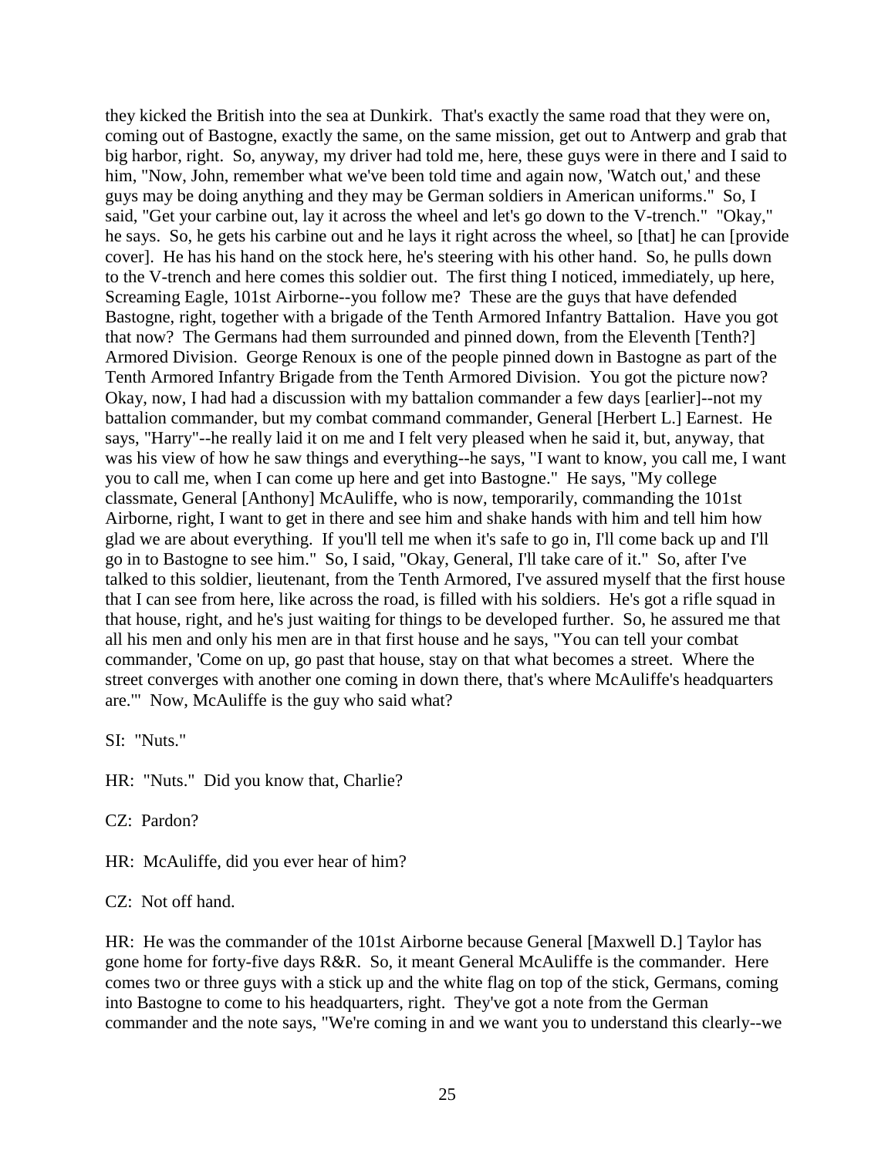they kicked the British into the sea at Dunkirk. That's exactly the same road that they were on, coming out of Bastogne, exactly the same, on the same mission, get out to Antwerp and grab that big harbor, right. So, anyway, my driver had told me, here, these guys were in there and I said to him, "Now, John, remember what we've been told time and again now, 'Watch out,' and these guys may be doing anything and they may be German soldiers in American uniforms." So, I said, "Get your carbine out, lay it across the wheel and let's go down to the V-trench." "Okay," he says. So, he gets his carbine out and he lays it right across the wheel, so [that] he can [provide cover]. He has his hand on the stock here, he's steering with his other hand. So, he pulls down to the V-trench and here comes this soldier out. The first thing I noticed, immediately, up here, Screaming Eagle, 101st Airborne--you follow me? These are the guys that have defended Bastogne, right, together with a brigade of the Tenth Armored Infantry Battalion. Have you got that now? The Germans had them surrounded and pinned down, from the Eleventh [Tenth?] Armored Division. George Renoux is one of the people pinned down in Bastogne as part of the Tenth Armored Infantry Brigade from the Tenth Armored Division. You got the picture now? Okay, now, I had had a discussion with my battalion commander a few days [earlier]--not my battalion commander, but my combat command commander, General [Herbert L.] Earnest. He says, "Harry"--he really laid it on me and I felt very pleased when he said it, but, anyway, that was his view of how he saw things and everything--he says, "I want to know, you call me, I want you to call me, when I can come up here and get into Bastogne." He says, "My college classmate, General [Anthony] McAuliffe, who is now, temporarily, commanding the 101st Airborne, right, I want to get in there and see him and shake hands with him and tell him how glad we are about everything. If you'll tell me when it's safe to go in, I'll come back up and I'll go in to Bastogne to see him." So, I said, "Okay, General, I'll take care of it." So, after I've talked to this soldier, lieutenant, from the Tenth Armored, I've assured myself that the first house that I can see from here, like across the road, is filled with his soldiers. He's got a rifle squad in that house, right, and he's just waiting for things to be developed further. So, he assured me that all his men and only his men are in that first house and he says, "You can tell your combat commander, 'Come on up, go past that house, stay on that what becomes a street. Where the street converges with another one coming in down there, that's where McAuliffe's headquarters are.'" Now, McAuliffe is the guy who said what?

SI: "Nuts."

HR: "Nuts." Did you know that, Charlie?

CZ: Pardon?

HR: McAuliffe, did you ever hear of him?

CZ: Not off hand.

HR: He was the commander of the 101st Airborne because General [Maxwell D.] Taylor has gone home for forty-five days R&R. So, it meant General McAuliffe is the commander. Here comes two or three guys with a stick up and the white flag on top of the stick, Germans, coming into Bastogne to come to his headquarters, right. They've got a note from the German commander and the note says, "We're coming in and we want you to understand this clearly--we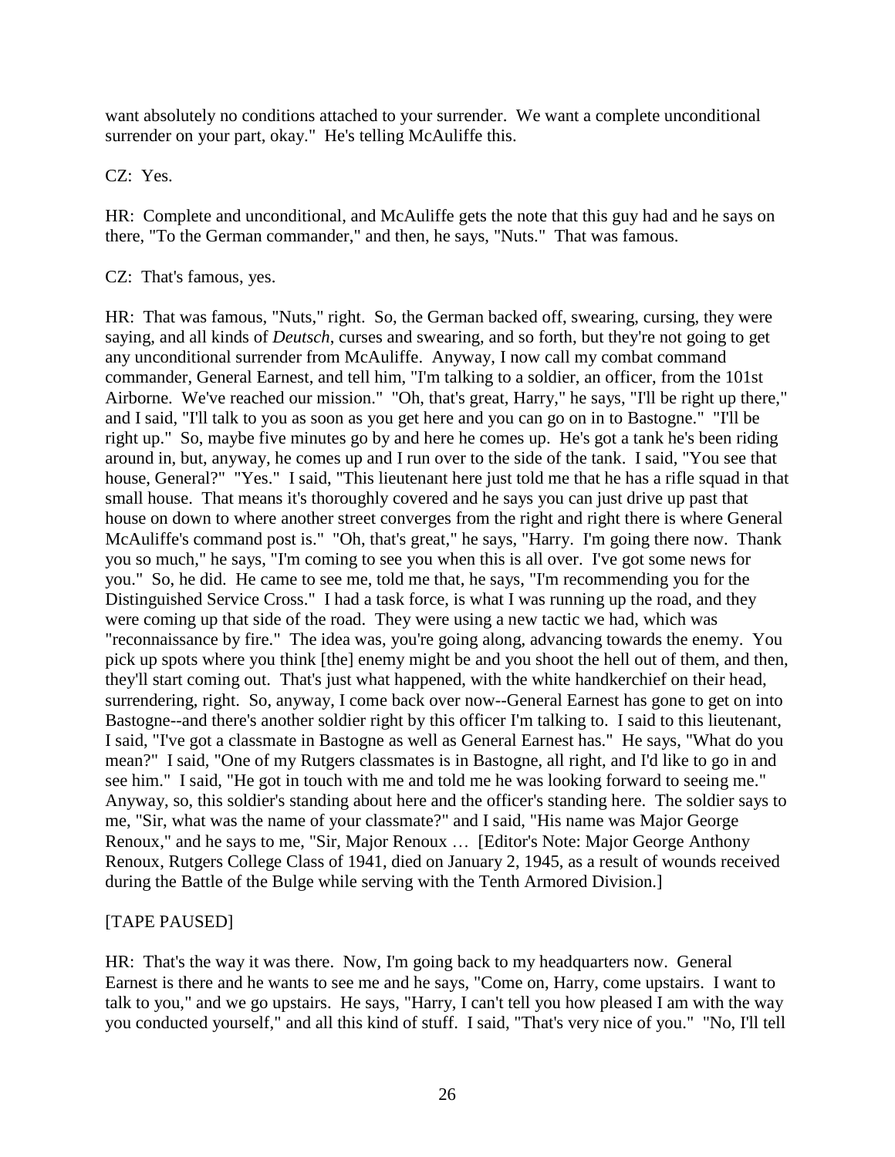want absolutely no conditions attached to your surrender. We want a complete unconditional surrender on your part, okay." He's telling McAuliffe this.

CZ: Yes.

HR: Complete and unconditional, and McAuliffe gets the note that this guy had and he says on there, "To the German commander," and then, he says, "Nuts." That was famous.

CZ: That's famous, yes.

HR: That was famous, "Nuts," right. So, the German backed off, swearing, cursing, they were saying, and all kinds of *Deutsch*, curses and swearing, and so forth, but they're not going to get any unconditional surrender from McAuliffe. Anyway, I now call my combat command commander, General Earnest, and tell him, "I'm talking to a soldier, an officer, from the 101st Airborne. We've reached our mission." "Oh, that's great, Harry," he says, "I'll be right up there," and I said, "I'll talk to you as soon as you get here and you can go on in to Bastogne." "I'll be right up." So, maybe five minutes go by and here he comes up. He's got a tank he's been riding around in, but, anyway, he comes up and I run over to the side of the tank. I said, "You see that house, General?" "Yes." I said, "This lieutenant here just told me that he has a rifle squad in that small house. That means it's thoroughly covered and he says you can just drive up past that house on down to where another street converges from the right and right there is where General McAuliffe's command post is." "Oh, that's great," he says, "Harry. I'm going there now. Thank you so much," he says, "I'm coming to see you when this is all over. I've got some news for you." So, he did. He came to see me, told me that, he says, "I'm recommending you for the Distinguished Service Cross." I had a task force, is what I was running up the road, and they were coming up that side of the road. They were using a new tactic we had, which was "reconnaissance by fire." The idea was, you're going along, advancing towards the enemy. You pick up spots where you think [the] enemy might be and you shoot the hell out of them, and then, they'll start coming out. That's just what happened, with the white handkerchief on their head, surrendering, right. So, anyway, I come back over now--General Earnest has gone to get on into Bastogne--and there's another soldier right by this officer I'm talking to. I said to this lieutenant, I said, "I've got a classmate in Bastogne as well as General Earnest has." He says, "What do you mean?" I said, "One of my Rutgers classmates is in Bastogne, all right, and I'd like to go in and see him." I said, "He got in touch with me and told me he was looking forward to seeing me." Anyway, so, this soldier's standing about here and the officer's standing here. The soldier says to me, "Sir, what was the name of your classmate?" and I said, "His name was Major George Renoux," and he says to me, "Sir, Major Renoux … [Editor's Note: Major George Anthony Renoux, Rutgers College Class of 1941, died on January 2, 1945, as a result of wounds received during the Battle of the Bulge while serving with the Tenth Armored Division.]

## [TAPE PAUSED]

HR: That's the way it was there. Now, I'm going back to my headquarters now. General Earnest is there and he wants to see me and he says, "Come on, Harry, come upstairs. I want to talk to you," and we go upstairs. He says, "Harry, I can't tell you how pleased I am with the way you conducted yourself," and all this kind of stuff. I said, "That's very nice of you." "No, I'll tell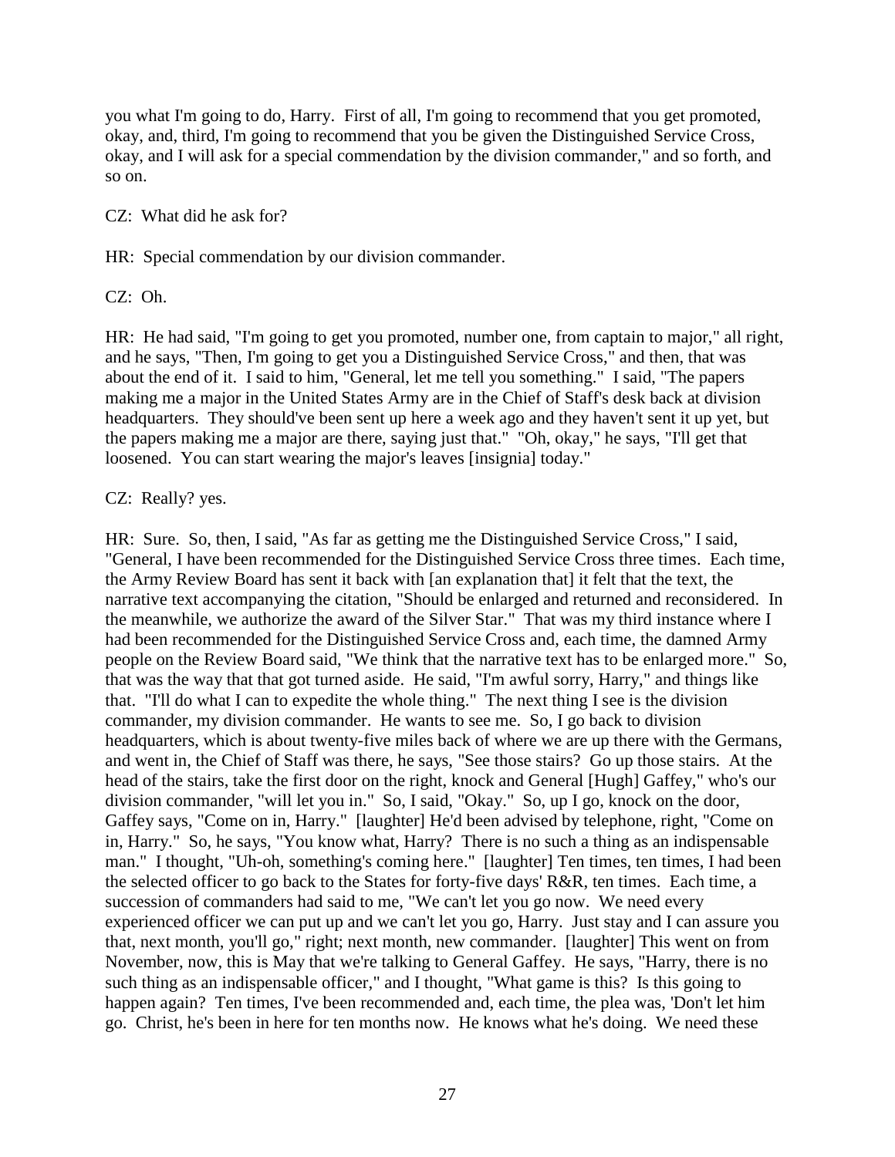you what I'm going to do, Harry. First of all, I'm going to recommend that you get promoted, okay, and, third, I'm going to recommend that you be given the Distinguished Service Cross, okay, and I will ask for a special commendation by the division commander," and so forth, and so on.

CZ: What did he ask for?

HR: Special commendation by our division commander.

CZ: Oh.

HR: He had said, "I'm going to get you promoted, number one, from captain to major," all right, and he says, "Then, I'm going to get you a Distinguished Service Cross," and then, that was about the end of it. I said to him, "General, let me tell you something." I said, "The papers making me a major in the United States Army are in the Chief of Staff's desk back at division headquarters. They should've been sent up here a week ago and they haven't sent it up yet, but the papers making me a major are there, saying just that." "Oh, okay," he says, "I'll get that loosened. You can start wearing the major's leaves [insignia] today."

## CZ: Really? yes.

HR: Sure. So, then, I said, "As far as getting me the Distinguished Service Cross," I said, "General, I have been recommended for the Distinguished Service Cross three times. Each time, the Army Review Board has sent it back with [an explanation that] it felt that the text, the narrative text accompanying the citation, "Should be enlarged and returned and reconsidered. In the meanwhile, we authorize the award of the Silver Star." That was my third instance where I had been recommended for the Distinguished Service Cross and, each time, the damned Army people on the Review Board said, "We think that the narrative text has to be enlarged more." So, that was the way that that got turned aside. He said, "I'm awful sorry, Harry," and things like that. "I'll do what I can to expedite the whole thing." The next thing I see is the division commander, my division commander. He wants to see me. So, I go back to division headquarters, which is about twenty-five miles back of where we are up there with the Germans, and went in, the Chief of Staff was there, he says, "See those stairs? Go up those stairs. At the head of the stairs, take the first door on the right, knock and General [Hugh] Gaffey," who's our division commander, "will let you in." So, I said, "Okay." So, up I go, knock on the door, Gaffey says, "Come on in, Harry." [laughter] He'd been advised by telephone, right, "Come on in, Harry." So, he says, "You know what, Harry? There is no such a thing as an indispensable man." I thought, "Uh-oh, something's coming here." [laughter] Ten times, ten times, I had been the selected officer to go back to the States for forty-five days' R&R, ten times. Each time, a succession of commanders had said to me, "We can't let you go now. We need every experienced officer we can put up and we can't let you go, Harry. Just stay and I can assure you that, next month, you'll go," right; next month, new commander. [laughter] This went on from November, now, this is May that we're talking to General Gaffey. He says, "Harry, there is no such thing as an indispensable officer," and I thought, "What game is this? Is this going to happen again? Ten times, I've been recommended and, each time, the plea was, 'Don't let him go. Christ, he's been in here for ten months now. He knows what he's doing. We need these